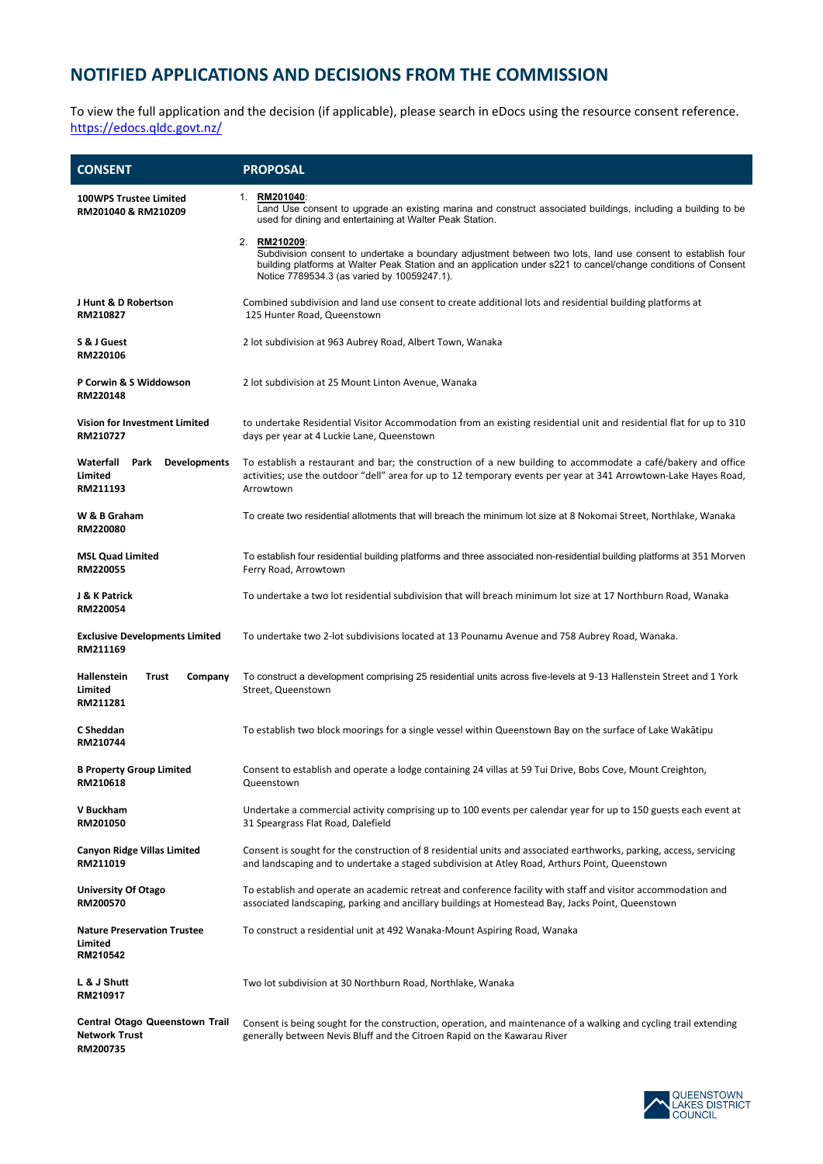## **NOTIFIED APPLICATIONS AND DECISIONS FROM THE COMMISSION**

| <b>CONSENT</b>                                                       | <b>PROPOSAL</b>                                                                                                                                                                                                                                                                              |
|----------------------------------------------------------------------|----------------------------------------------------------------------------------------------------------------------------------------------------------------------------------------------------------------------------------------------------------------------------------------------|
| <b>100WPS Trustee Limited</b><br>RM201040 & RM210209                 | 1. RM201040:<br>Land Use consent to upgrade an existing marina and construct associated buildings, including a building to be<br>used for dining and entertaining at Walter Peak Station.                                                                                                    |
|                                                                      | 2. RM210209:<br>Subdivision consent to undertake a boundary adjustment between two lots, land use consent to establish four<br>building platforms at Walter Peak Station and an application under s221 to cancel/change conditions of Consent<br>Notice 7789534.3 (as varied by 10059247.1). |
| J Hunt & D Robertson<br>RM210827                                     | Combined subdivision and land use consent to create additional lots and residential building platforms at<br>125 Hunter Road, Queenstown                                                                                                                                                     |
| S & J Guest<br>RM220106                                              | 2 lot subdivision at 963 Aubrey Road, Albert Town, Wanaka                                                                                                                                                                                                                                    |
| P Corwin & S Widdowson<br>RM220148                                   | 2 lot subdivision at 25 Mount Linton Avenue, Wanaka                                                                                                                                                                                                                                          |
| <b>Vision for Investment Limited</b><br>RM210727                     | to undertake Residential Visitor Accommodation from an existing residential unit and residential flat for up to 310<br>days per year at 4 Luckie Lane, Queenstown                                                                                                                            |
| <b>Park Developments</b><br>Waterfall<br>Limited<br>RM211193         | To establish a restaurant and bar; the construction of a new building to accommodate a café/bakery and office<br>activities; use the outdoor "dell" area for up to 12 temporary events per year at 341 Arrowtown-Lake Hayes Road,<br>Arrowtown                                               |
| W & B Graham<br>RM220080                                             | To create two residential allotments that will breach the minimum lot size at 8 Nokomai Street, Northlake, Wanaka                                                                                                                                                                            |
| <b>MSL Quad Limited</b><br>RM220055                                  | To establish four residential building platforms and three associated non-residential building platforms at 351 Morven<br>Ferry Road, Arrowtown                                                                                                                                              |
| J & K Patrick<br>RM220054                                            | To undertake a two lot residential subdivision that will breach minimum lot size at 17 Northburn Road, Wanaka                                                                                                                                                                                |
| <b>Exclusive Developments Limited</b><br>RM211169                    | To undertake two 2-lot subdivisions located at 13 Pounamu Avenue and 758 Aubrey Road, Wanaka.                                                                                                                                                                                                |
| <b>Hallenstein</b><br><b>Trust</b><br>Company<br>Limited<br>RM211281 | To construct a development comprising 25 residential units across five-levels at 9-13 Hallenstein Street and 1 York<br>Street, Queenstown                                                                                                                                                    |
| C Sheddan<br>RM210744                                                | To establish two block moorings for a single vessel within Queenstown Bay on the surface of Lake Wakatipu                                                                                                                                                                                    |
| <b>B Property Group Limited</b><br>RM210618                          | Consent to establish and operate a lodge containing 24 villas at 59 Tui Drive, Bobs Cove, Mount Creighton,<br>Queenstown                                                                                                                                                                     |
| V Buckham<br>RM201050                                                | Undertake a commercial activity comprising up to 100 events per calendar year for up to 150 guests each event at<br>31 Speargrass Flat Road, Dalefield                                                                                                                                       |
| <b>Canyon Ridge Villas Limited</b><br>RM211019                       | Consent is sought for the construction of 8 residential units and associated earthworks, parking, access, servicing<br>and landscaping and to undertake a staged subdivision at Atley Road, Arthurs Point, Queenstown                                                                        |

To view the full application and the decision (if applicable), please search in eDocs using the resource consent reference. <https://edocs.qldc.govt.nz/>

| University Of Otago<br>RM200570                                           | To establish and operate an academic retreat and conference facility with staff and visitor accommodation and<br>associated landscaping, parking and ancillary buildings at Homestead Bay, Jacks Point, Queenstown |
|---------------------------------------------------------------------------|--------------------------------------------------------------------------------------------------------------------------------------------------------------------------------------------------------------------|
| <b>Nature Preservation Trustee</b><br>Limited<br>RM210542                 | To construct a residential unit at 492 Wanaka-Mount Aspiring Road, Wanaka                                                                                                                                          |
| L & J Shutt<br>RM210917                                                   | Two lot subdivision at 30 Northburn Road, Northlake, Wanaka                                                                                                                                                        |
| <b>Central Otago Queenstown Trail</b><br><b>Network Trust</b><br>RM200735 | Consent is being sought for the construction, operation, and maintenance of a walking and cycling trail extending<br>generally between Nevis Bluff and the Citroen Rapid on the Kawarau River                      |

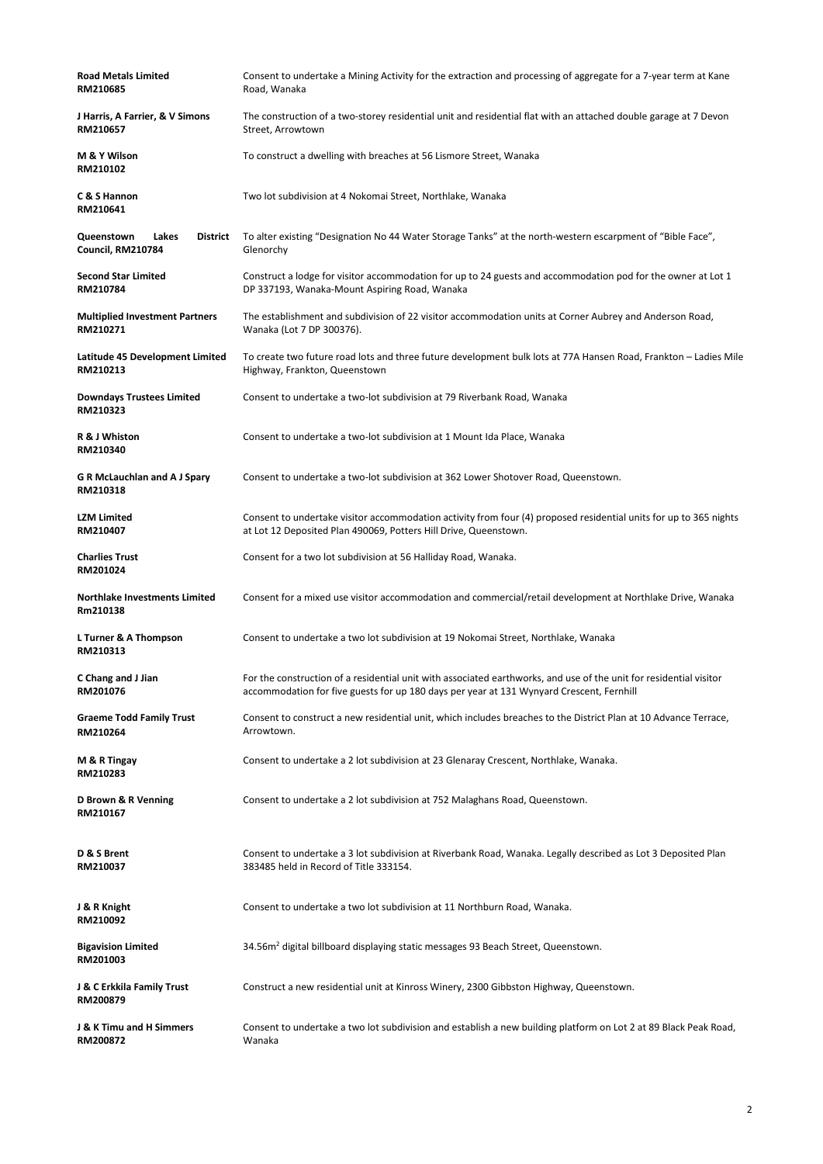| <b>Road Metals Limited</b><br>RM210685                      | Consent to undertake a Mining Activity for the extraction and processing of aggregate for a 7-year term at Kane<br>Road, Wanaka                                                                                |
|-------------------------------------------------------------|----------------------------------------------------------------------------------------------------------------------------------------------------------------------------------------------------------------|
| J Harris, A Farrier, & V Simons<br>RM210657                 | The construction of a two-storey residential unit and residential flat with an attached double garage at 7 Devon<br>Street, Arrowtown                                                                          |
| M & Y Wilson<br>RM210102                                    | To construct a dwelling with breaches at 56 Lismore Street, Wanaka                                                                                                                                             |
| C & S Hannon<br>RM210641                                    | Two lot subdivision at 4 Nokomai Street, Northlake, Wanaka                                                                                                                                                     |
| Queenstown<br>Lakes<br><b>District</b><br>Council, RM210784 | To alter existing "Designation No 44 Water Storage Tanks" at the north-western escarpment of "Bible Face",<br>Glenorchy                                                                                        |
| <b>Second Star Limited</b><br>RM210784                      | Construct a lodge for visitor accommodation for up to 24 guests and accommodation pod for the owner at Lot 1<br>DP 337193, Wanaka-Mount Aspiring Road, Wanaka                                                  |
| <b>Multiplied Investment Partners</b><br>RM210271           | The establishment and subdivision of 22 visitor accommodation units at Corner Aubrey and Anderson Road,<br>Wanaka (Lot 7 DP 300376).                                                                           |
| Latitude 45 Development Limited<br>RM210213                 | To create two future road lots and three future development bulk lots at 77A Hansen Road, Frankton - Ladies Mile<br>Highway, Frankton, Queenstown                                                              |
| <b>Downdays Trustees Limited</b><br>RM210323                | Consent to undertake a two-lot subdivision at 79 Riverbank Road, Wanaka                                                                                                                                        |
| R & J Whiston<br>RM210340                                   | Consent to undertake a two-lot subdivision at 1 Mount Ida Place, Wanaka                                                                                                                                        |
| <b>G R McLauchlan and A J Spary</b><br>RM210318             | Consent to undertake a two-lot subdivision at 362 Lower Shotover Road, Queenstown.                                                                                                                             |
| <b>LZM Limited</b><br>RM210407                              | Consent to undertake visitor accommodation activity from four (4) proposed residential units for up to 365 nights<br>at Lot 12 Deposited Plan 490069, Potters Hill Drive, Queenstown.                          |
| <b>Charlies Trust</b><br>RM201024                           | Consent for a two lot subdivision at 56 Halliday Road, Wanaka.                                                                                                                                                 |
| <b>Northlake Investments Limited</b><br>Rm210138            | Consent for a mixed use visitor accommodation and commercial/retail development at Northlake Drive, Wanaka                                                                                                     |
| L Turner & A Thompson<br>RM210313                           | Consent to undertake a two lot subdivision at 19 Nokomai Street, Northlake, Wanaka                                                                                                                             |
| C Chang and J Jian<br>RM201076                              | For the construction of a residential unit with associated earthworks, and use of the unit for residential visitor<br>accommodation for five guests for up 180 days per year at 131 Wynyard Crescent, Fernhill |
| <b>Graeme Todd Family Trust</b><br>RM210264                 | Consent to construct a new residential unit, which includes breaches to the District Plan at 10 Advance Terrace,<br>Arrowtown.                                                                                 |
| M & R Tingay<br>RM210283                                    | Consent to undertake a 2 lot subdivision at 23 Glenaray Crescent, Northlake, Wanaka.                                                                                                                           |
| D Brown & R Venning<br>RM210167                             | Consent to undertake a 2 lot subdivision at 752 Malaghans Road, Queenstown.                                                                                                                                    |
| D & S Brent<br>RM210037                                     | Consent to undertake a 3 lot subdivision at Riverbank Road, Wanaka. Legally described as Lot 3 Deposited Plan<br>383485 held in Record of Title 333154.                                                        |

| J & R Knight<br>RM210092                        | Consent to undertake a two lot subdivision at 11 Northburn Road, Wanaka.                                                   |
|-------------------------------------------------|----------------------------------------------------------------------------------------------------------------------------|
| <b>Bigavision Limited</b><br>RM201003           | 34.56m <sup>2</sup> digital billboard displaying static messages 93 Beach Street, Queenstown.                              |
| J & C Erkkila Family Trust<br>RM200879          | Construct a new residential unit at Kinross Winery, 2300 Gibbston Highway, Queenstown.                                     |
| <b>J &amp; K Timu and H Simmers</b><br>RM200872 | Consent to undertake a two lot subdivision and establish a new building platform on Lot 2 at 89 Black Peak Road,<br>Wanaka |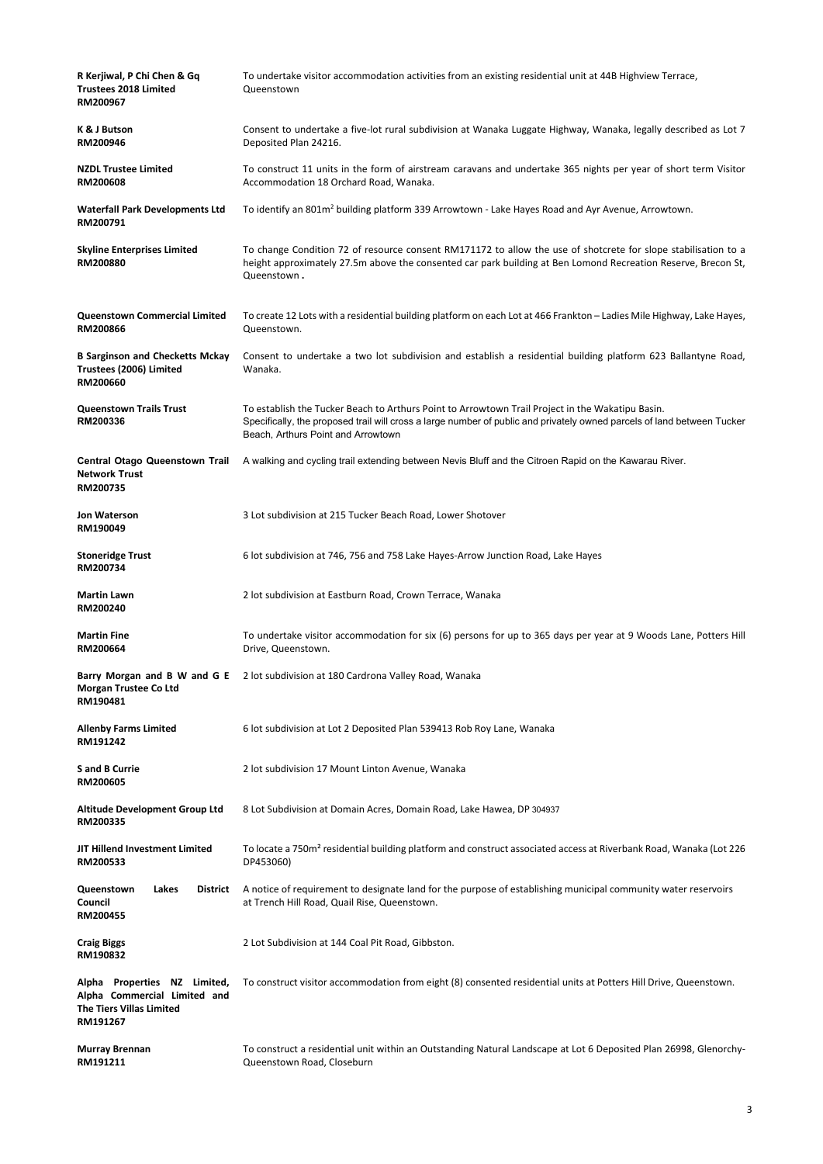3

| R Kerjiwal, P Chi Chen & Gq<br><b>Trustees 2018 Limited</b><br>RM200967       | To undertake visitor accommodation activities from an existing residential unit at 44B Highview Terrace,<br>Queenstown                                                                                                                                            |
|-------------------------------------------------------------------------------|-------------------------------------------------------------------------------------------------------------------------------------------------------------------------------------------------------------------------------------------------------------------|
| K & J Butson<br>RM200946                                                      | Consent to undertake a five-lot rural subdivision at Wanaka Luggate Highway, Wanaka, legally described as Lot 7<br>Deposited Plan 24216.                                                                                                                          |
| <b>NZDL Trustee Limited</b><br><b>RM200608</b>                                | To construct 11 units in the form of airstream caravans and undertake 365 nights per year of short term Visitor<br>Accommodation 18 Orchard Road, Wanaka.                                                                                                         |
| <b>Waterfall Park Developments Ltd</b><br>RM200791                            | To identify an 801m <sup>2</sup> building platform 339 Arrowtown - Lake Hayes Road and Ayr Avenue, Arrowtown.                                                                                                                                                     |
| <b>Skyline Enterprises Limited</b><br><b>RM200880</b>                         | To change Condition 72 of resource consent RM171172 to allow the use of shotcrete for slope stabilisation to a<br>height approximately 27.5m above the consented car park building at Ben Lomond Recreation Reserve, Brecon St,<br>Queenstown.                    |
| <b>Queenstown Commercial Limited</b><br>RM200866                              | To create 12 Lots with a residential building platform on each Lot at 466 Frankton - Ladies Mile Highway, Lake Hayes,<br>Queenstown.                                                                                                                              |
| <b>B Sarginson and Checketts Mckay</b><br>Trustees (2006) Limited<br>RM200660 | Consent to undertake a two lot subdivision and establish a residential building platform 623 Ballantyne Road,<br>Wanaka.                                                                                                                                          |
| <b>Queenstown Trails Trust</b><br>RM200336                                    | To establish the Tucker Beach to Arthurs Point to Arrowtown Trail Project in the Wakatipu Basin.<br>Specifically, the proposed trail will cross a large number of public and privately owned parcels of land between Tucker<br>Beach, Arthurs Point and Arrowtown |
| <b>Central Otago Queenstown Trail</b><br><b>Network Trust</b><br>RM200735     | A walking and cycling trail extending between Nevis Bluff and the Citroen Rapid on the Kawarau River.                                                                                                                                                             |
| Jon Waterson<br>RM190049                                                      | 3 Lot subdivision at 215 Tucker Beach Road, Lower Shotover                                                                                                                                                                                                        |
| <b>Stoneridge Trust</b><br>RM200734                                           | 6 lot subdivision at 746, 756 and 758 Lake Hayes-Arrow Junction Road, Lake Hayes                                                                                                                                                                                  |
| <b>Martin Lawn</b><br>RM200240                                                | 2 lot subdivision at Eastburn Road, Crown Terrace, Wanaka                                                                                                                                                                                                         |
| <b>Martin Fine</b><br>RM200664                                                | To undertake visitor accommodation for six (6) persons for up to 365 days per year at 9 Woods Lane, Potters Hill<br>Drive, Queenstown.                                                                                                                            |
| Barry Morgan and B W and G E<br><b>Morgan Trustee Co Ltd</b><br>RM190481      | 2 lot subdivision at 180 Cardrona Valley Road, Wanaka                                                                                                                                                                                                             |
| <b>Allenby Farms Limited</b><br>RM191242                                      | 6 lot subdivision at Lot 2 Deposited Plan 539413 Rob Roy Lane, Wanaka                                                                                                                                                                                             |
| <b>S</b> and <b>B</b> Currie<br>RM200605                                      | 2 lot subdivision 17 Mount Linton Avenue, Wanaka                                                                                                                                                                                                                  |
| <b>Altitude Development Group Ltd</b><br>RM200335                             | 8 Lot Subdivision at Domain Acres, Domain Road, Lake Hawea, DP 304937                                                                                                                                                                                             |
| <b>JIT Hillend Investment Limited</b><br>RM200533                             | To locate a 750m <sup>2</sup> residential building platform and construct associated access at Riverbank Road, Wanaka (Lot 226<br>DP453060)                                                                                                                       |

| Queenstown<br>Council<br>RM200455                                                    | Lakes | <b>District</b>        | A notice of requirement to designate land for the purpose of establishing municipal community water reservoirs<br>at Trench Hill Road, Quail Rise, Queenstown. |
|--------------------------------------------------------------------------------------|-------|------------------------|----------------------------------------------------------------------------------------------------------------------------------------------------------------|
| <b>Craig Biggs</b><br>RM190832                                                       |       |                        | 2 Lot Subdivision at 144 Coal Pit Road, Gibbston.                                                                                                              |
| Alpha<br>Alpha Commercial Limited and<br><b>The Tiers Villas Limited</b><br>RM191267 |       | Properties NZ Limited. | To construct visitor accommodation from eight (8) consented residential units at Potters Hill Drive, Queenstown.                                               |
| <b>Murray Brennan</b><br>RM191211                                                    |       |                        | To construct a residential unit within an Outstanding Natural Landscape at Lot 6 Deposited Plan 26998, Glenorchy-<br>Queenstown Road, Closeburn                |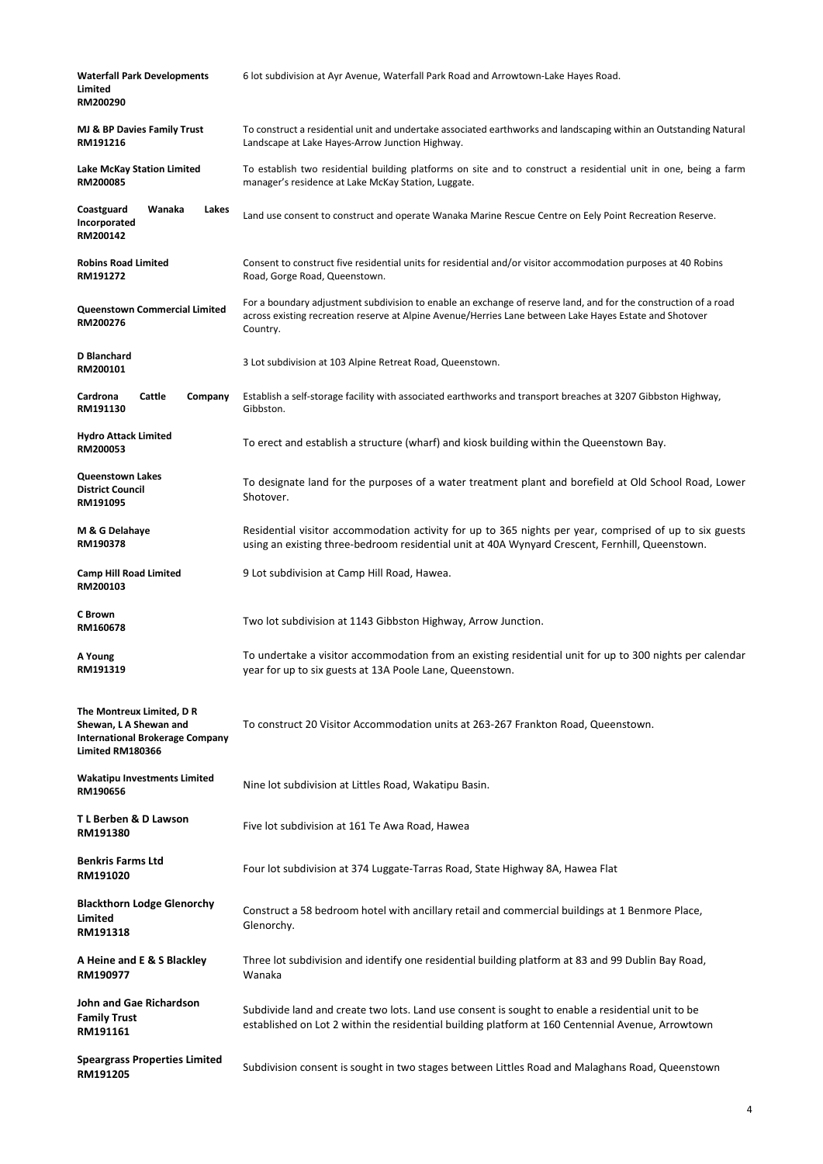4

| <b>Waterfall Park Developments</b><br>Limited<br>RM200290                                                         | 6 lot subdivision at Ayr Avenue, Waterfall Park Road and Arrowtown-Lake Hayes Road.                                                                                                                                                    |
|-------------------------------------------------------------------------------------------------------------------|----------------------------------------------------------------------------------------------------------------------------------------------------------------------------------------------------------------------------------------|
| MJ & BP Davies Family Trust<br>RM191216                                                                           | To construct a residential unit and undertake associated earthworks and landscaping within an Outstanding Natural<br>Landscape at Lake Hayes-Arrow Junction Highway.                                                                   |
| <b>Lake McKay Station Limited</b><br>RM200085                                                                     | To establish two residential building platforms on site and to construct a residential unit in one, being a farm<br>manager's residence at Lake McKay Station, Luggate.                                                                |
| Wanaka<br>Coastguard<br>Lakes<br>Incorporated<br>RM200142                                                         | Land use consent to construct and operate Wanaka Marine Rescue Centre on Eely Point Recreation Reserve.                                                                                                                                |
| <b>Robins Road Limited</b><br>RM191272                                                                            | Consent to construct five residential units for residential and/or visitor accommodation purposes at 40 Robins<br>Road, Gorge Road, Queenstown.                                                                                        |
| <b>Queenstown Commercial Limited</b><br>RM200276                                                                  | For a boundary adjustment subdivision to enable an exchange of reserve land, and for the construction of a road<br>across existing recreation reserve at Alpine Avenue/Herries Lane between Lake Hayes Estate and Shotover<br>Country. |
| <b>D</b> Blanchard<br>RM200101                                                                                    | 3 Lot subdivision at 103 Alpine Retreat Road, Queenstown.                                                                                                                                                                              |
| Cardrona<br><b>Cattle</b><br>Company<br>RM191130                                                                  | Establish a self-storage facility with associated earthworks and transport breaches at 3207 Gibbston Highway,<br>Gibbston.                                                                                                             |
| <b>Hydro Attack Limited</b><br>RM200053                                                                           | To erect and establish a structure (wharf) and kiosk building within the Queenstown Bay.                                                                                                                                               |
| <b>Queenstown Lakes</b><br><b>District Council</b><br>RM191095                                                    | To designate land for the purposes of a water treatment plant and borefield at Old School Road, Lower<br>Shotover.                                                                                                                     |
| M & G Delahaye<br>RM190378                                                                                        | Residential visitor accommodation activity for up to 365 nights per year, comprised of up to six guests<br>using an existing three-bedroom residential unit at 40A Wynyard Crescent, Fernhill, Queenstown.                             |
| <b>Camp Hill Road Limited</b><br>RM200103                                                                         | 9 Lot subdivision at Camp Hill Road, Hawea.                                                                                                                                                                                            |
| <b>C</b> Brown<br>RM160678                                                                                        | Two lot subdivision at 1143 Gibbston Highway, Arrow Junction.                                                                                                                                                                          |
| A Young<br>RM191319                                                                                               | To undertake a visitor accommodation from an existing residential unit for up to 300 nights per calendar<br>year for up to six guests at 13A Poole Lane, Queenstown.                                                                   |
| The Montreux Limited, D R<br>Shewan, L A Shewan and<br><b>International Brokerage Company</b><br>Limited RM180366 | To construct 20 Visitor Accommodation units at 263-267 Frankton Road, Queenstown.                                                                                                                                                      |
| <b>Wakatipu Investments Limited</b><br>RM190656                                                                   | Nine lot subdivision at Littles Road, Wakatipu Basin.                                                                                                                                                                                  |
| T L Berben & D Lawson<br>RM191380                                                                                 | Five lot subdivision at 161 Te Awa Road, Hawea                                                                                                                                                                                         |
| <b>Benkris Farms Ltd</b><br>RM191020                                                                              | Four lot subdivision at 374 Luggate-Tarras Road, State Highway 8A, Hawea Flat                                                                                                                                                          |

| <b>Blackthorn Lodge Glenorchy</b><br>Limited<br>RM191318   | Construct a 58 bedroom hotel with ancillary retail and commercial buildings at 1 Benmore Place,<br>Glenorchy.                                                                                          |
|------------------------------------------------------------|--------------------------------------------------------------------------------------------------------------------------------------------------------------------------------------------------------|
| A Heine and E & S Blackley<br>RM190977                     | Three lot subdivision and identify one residential building platform at 83 and 99 Dublin Bay Road,<br>Wanaka                                                                                           |
| John and Gae Richardson<br><b>Family Trust</b><br>RM191161 | Subdivide land and create two lots. Land use consent is sought to enable a residential unit to be<br>established on Lot 2 within the residential building platform at 160 Centennial Avenue, Arrowtown |
| <b>Speargrass Properties Limited</b><br>RM191205           | Subdivision consent is sought in two stages between Littles Road and Malaghans Road, Queenstown                                                                                                        |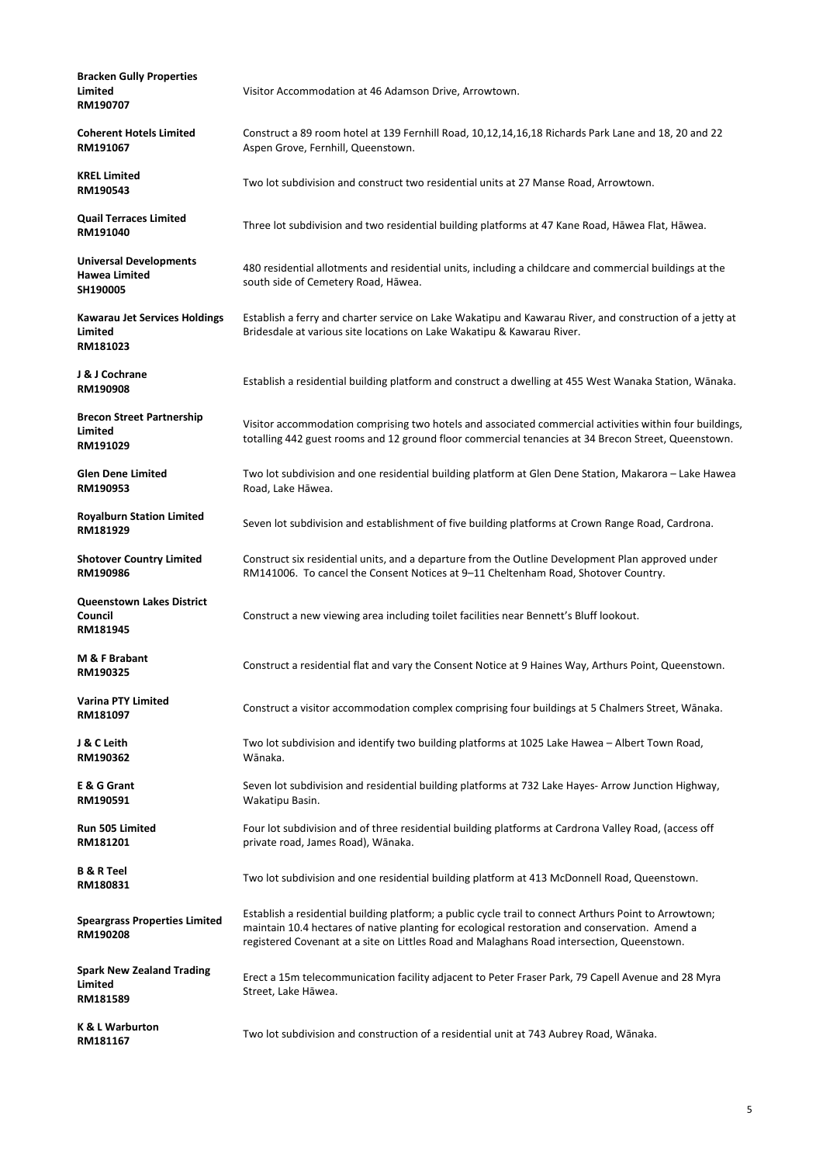| <b>Bracken Gully Properties</b><br>Limited<br>RM190707            | Visitor Accommodation at 46 Adamson Drive, Arrowtown.                                                                                                                                                          |
|-------------------------------------------------------------------|----------------------------------------------------------------------------------------------------------------------------------------------------------------------------------------------------------------|
| <b>Coherent Hotels Limited</b><br>RM191067                        | Construct a 89 room hotel at 139 Fernhill Road, 10,12,14,16,18 Richards Park Lane and 18, 20 and 22<br>Aspen Grove, Fernhill, Queenstown.                                                                      |
| <b>KREL Limited</b><br>RM190543                                   | Two lot subdivision and construct two residential units at 27 Manse Road, Arrowtown.                                                                                                                           |
| <b>Quail Terraces Limited</b><br>RM191040                         | Three lot subdivision and two residential building platforms at 47 Kane Road, Hāwea Flat, Hāwea.                                                                                                               |
| <b>Universal Developments</b><br><b>Hawea Limited</b><br>SH190005 | 480 residential allotments and residential units, including a childcare and commercial buildings at the<br>south side of Cemetery Road, Hāwea.                                                                 |
| <b>Kawarau Jet Services Holdings</b><br>Limited<br>RM181023       | Establish a ferry and charter service on Lake Wakatipu and Kawarau River, and construction of a jetty at<br>Bridesdale at various site locations on Lake Wakatipu & Kawarau River.                             |
| J & J Cochrane<br>RM190908                                        | Establish a residential building platform and construct a dwelling at 455 West Wanaka Station, Wānaka.                                                                                                         |
| <b>Brecon Street Partnership</b><br>Limited<br>RM191029           | Visitor accommodation comprising two hotels and associated commercial activities within four buildings,<br>totalling 442 guest rooms and 12 ground floor commercial tenancies at 34 Brecon Street, Queenstown. |
| <b>Glen Dene Limited</b><br>RM190953                              | Two lot subdivision and one residential building platform at Glen Dene Station, Makarora - Lake Hawea<br>Road, Lake Hāwea.                                                                                     |
| <b>Royalburn Station Limited</b><br>RM181929                      | Seven lot subdivision and establishment of five building platforms at Crown Range Road, Cardrona.                                                                                                              |
| <b>Shotover Country Limited</b><br>RM190986                       | Construct six residential units, and a departure from the Outline Development Plan approved under<br>RM141006. To cancel the Consent Notices at 9-11 Cheltenham Road, Shotover Country.                        |
| <b>Queenstown Lakes District</b><br>Council<br>RM181945           | Construct a new viewing area including toilet facilities near Bennett's Bluff lookout.                                                                                                                         |
| M & F Brabant<br>RM190325                                         | Construct a residential flat and vary the Consent Notice at 9 Haines Way, Arthurs Point, Queenstown.                                                                                                           |
| <b>Varina PTY Limited</b><br>RM181097                             | Construct a visitor accommodation complex comprising four buildings at 5 Chalmers Street, Wānaka.                                                                                                              |
| J & C Leith<br>RM190362                                           | Two lot subdivision and identify two building platforms at 1025 Lake Hawea - Albert Town Road,<br>Wānaka.                                                                                                      |
| E & G Grant<br>RM190591                                           | Seven lot subdivision and residential building platforms at 732 Lake Hayes- Arrow Junction Highway,<br>Wakatipu Basin.                                                                                         |
| Run 505 Limited<br>RM181201                                       | Four lot subdivision and of three residential building platforms at Cardrona Valley Road, (access off<br>private road, James Road), Wānaka.                                                                    |
| <b>B &amp; R Teel</b>                                             |                                                                                                                                                                                                                |

**B & K Teen**<br>**RM180831** Two lot subdivision and one residential building platform at 413 McDonnell Road, Queenstown.

### **Speargrass Properties Limited RM190208**

Establish a residential building platform; a public cycle trail to connect Arthurs Point to Arrowtown; maintain 10.4 hectares of native planting for ecological restoration and conservation. Amend a registered Covenant at a site on Littles Road and Malaghans Road intersection, Queenstown.

### **Spark New Zealand Trading Limited RM181589**

Erect a 15m telecommunication facility adjacent to Peter Fraser Park, 79 Capell Avenue and 28 Myra Street, Lake Hāwea.

## **K & L Warburton**

**R & L Warburton**<br>**RM181167** Two lot subdivision and construction of a residential unit at 743 Aubrey Road, Wānaka.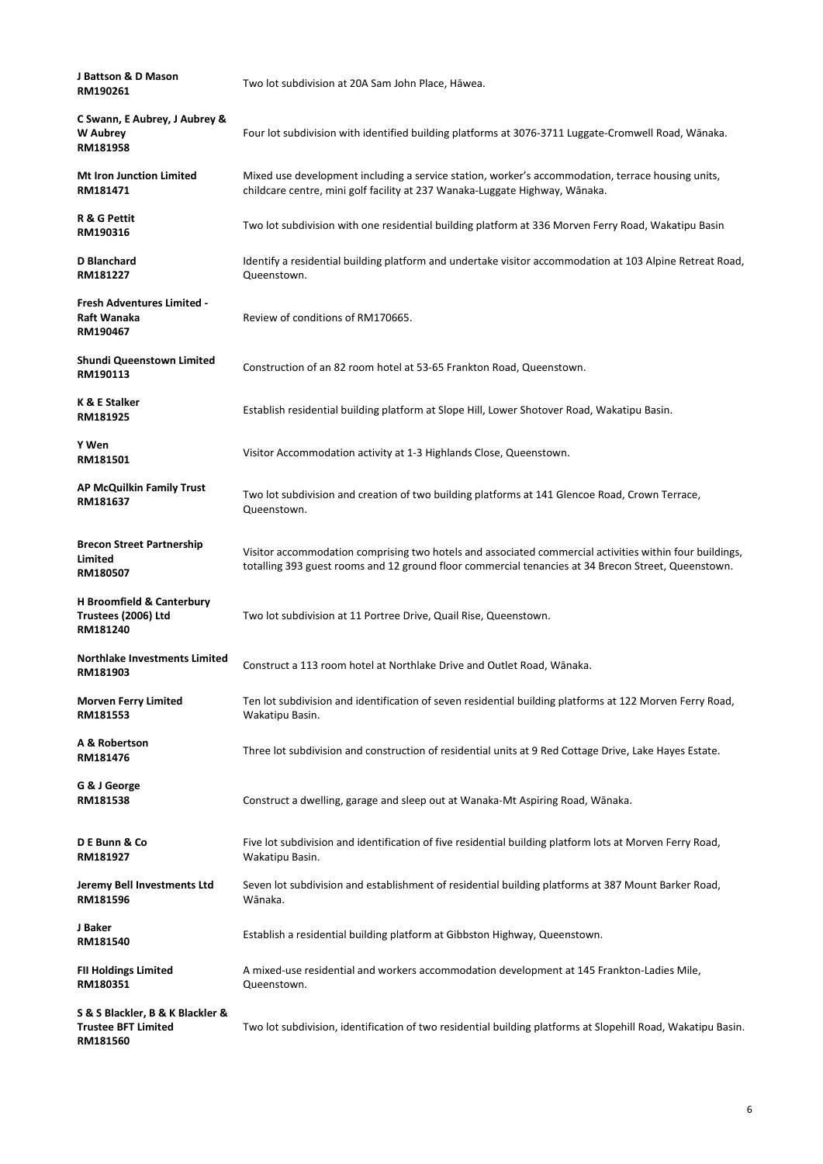| J Battson & D Mason<br>RM190261                                         | Two lot subdivision at 20A Sam John Place, Hāwea.                                                                                                                                                              |
|-------------------------------------------------------------------------|----------------------------------------------------------------------------------------------------------------------------------------------------------------------------------------------------------------|
| C Swann, E Aubrey, J Aubrey &<br><b>W</b> Aubrey<br>RM181958            | Four lot subdivision with identified building platforms at 3076-3711 Luggate-Cromwell Road, Wānaka.                                                                                                            |
| <b>Mt Iron Junction Limited</b><br>RM181471                             | Mixed use development including a service station, worker's accommodation, terrace housing units,<br>childcare centre, mini golf facility at 237 Wanaka-Luggate Highway, Wānaka.                               |
| R & G Pettit<br>RM190316                                                | Two lot subdivision with one residential building platform at 336 Morven Ferry Road, Wakatipu Basin                                                                                                            |
| <b>D</b> Blanchard<br>RM181227                                          | Identify a residential building platform and undertake visitor accommodation at 103 Alpine Retreat Road,<br>Queenstown.                                                                                        |
| <b>Fresh Adventures Limited -</b><br><b>Raft Wanaka</b><br>RM190467     | Review of conditions of RM170665.                                                                                                                                                                              |
| <b>Shundi Queenstown Limited</b><br>RM190113                            | Construction of an 82 room hotel at 53-65 Frankton Road, Queenstown.                                                                                                                                           |
| <b>K &amp; E Stalker</b><br>RM181925                                    | Establish residential building platform at Slope Hill, Lower Shotover Road, Wakatipu Basin.                                                                                                                    |
| Y Wen<br>RM181501                                                       | Visitor Accommodation activity at 1-3 Highlands Close, Queenstown.                                                                                                                                             |
| <b>AP McQuilkin Family Trust</b><br>RM181637                            | Two lot subdivision and creation of two building platforms at 141 Glencoe Road, Crown Terrace,<br>Queenstown.                                                                                                  |
| <b>Brecon Street Partnership</b><br>Limited<br>RM180507                 | Visitor accommodation comprising two hotels and associated commercial activities within four buildings,<br>totalling 393 guest rooms and 12 ground floor commercial tenancies at 34 Brecon Street, Queenstown. |
| <b>H Broomfield &amp; Canterbury</b><br>Trustees (2006) Ltd<br>RM181240 | Two lot subdivision at 11 Portree Drive, Quail Rise, Queenstown.                                                                                                                                               |
| <b>Northlake Investments Limited</b><br>RM181903                        | Construct a 113 room hotel at Northlake Drive and Outlet Road, Wānaka.                                                                                                                                         |
| <b>Morven Ferry Limited</b><br>RM181553                                 | Ten lot subdivision and identification of seven residential building platforms at 122 Morven Ferry Road,<br>Wakatipu Basin.                                                                                    |
| A & Robertson<br>RM181476                                               | Three lot subdivision and construction of residential units at 9 Red Cottage Drive, Lake Hayes Estate.                                                                                                         |
| G & J George<br>RM181538                                                | Construct a dwelling, garage and sleep out at Wanaka-Mt Aspiring Road, Wānaka.                                                                                                                                 |
| D E Bunn & Co<br>RM181927                                               | Five lot subdivision and identification of five residential building platform lots at Morven Ferry Road,<br>Wakatipu Basin.                                                                                    |

| Jeremy Bell Investments Ltd                                                | Seven lot subdivision and establishment of residential building platforms at 387 Mount Barker Road,          |
|----------------------------------------------------------------------------|--------------------------------------------------------------------------------------------------------------|
| RM181596                                                                   | Wānaka.                                                                                                      |
| J Baker<br>RM181540                                                        | Establish a residential building platform at Gibbston Highway, Queenstown.                                   |
| <b>FII Holdings Limited</b>                                                | A mixed-use residential and workers accommodation development at 145 Frankton-Ladies Mile,                   |
| RM180351                                                                   | Queenstown.                                                                                                  |
| S & S Blackler, B & K Blackler &<br><b>Trustee BFT Limited</b><br>RM181560 | Two lot subdivision, identification of two residential building platforms at Slopehill Road, Wakatipu Basin. |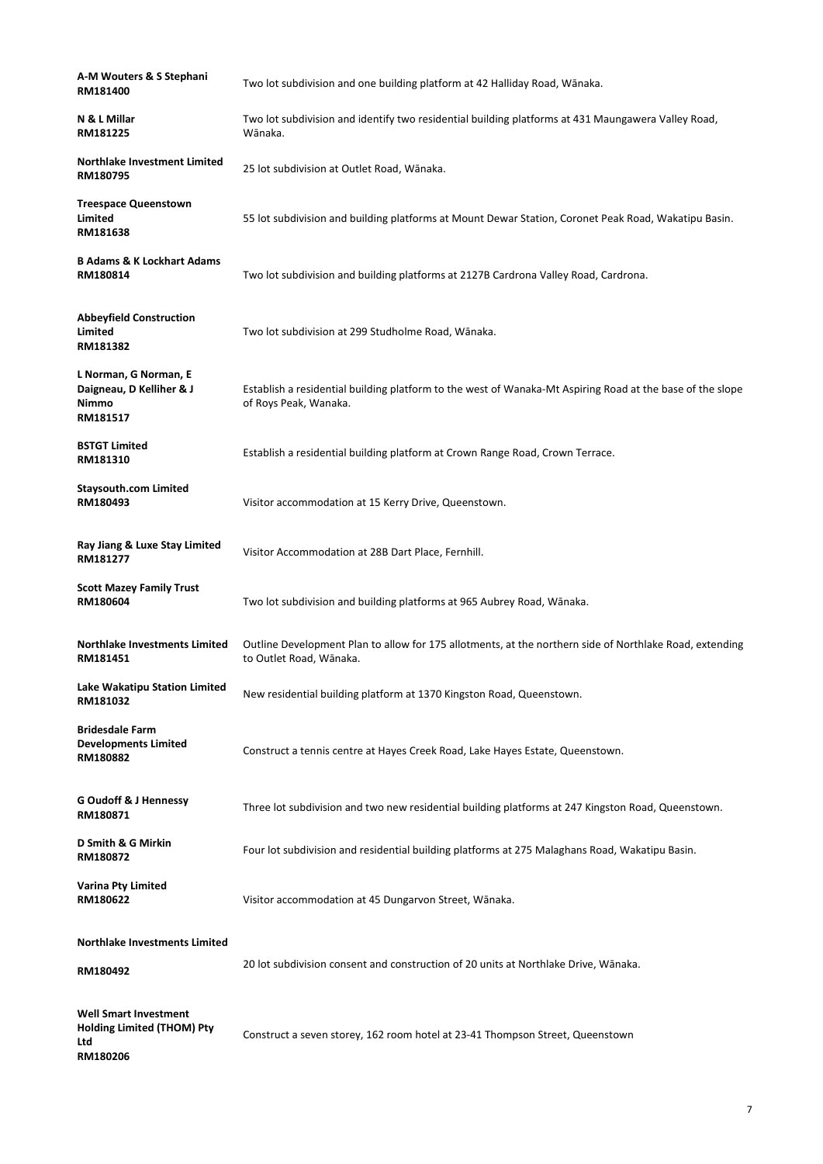| A-M Wouters & S Stephani<br>RM181400                                          | Two lot subdivision and one building platform at 42 Halliday Road, Wānaka.                                                         |
|-------------------------------------------------------------------------------|------------------------------------------------------------------------------------------------------------------------------------|
| N & L Millar<br>RM181225                                                      | Two lot subdivision and identify two residential building platforms at 431 Maungawera Valley Road,<br>Wānaka.                      |
| <b>Northlake Investment Limited</b><br>RM180795                               | 25 lot subdivision at Outlet Road, Wānaka.                                                                                         |
| <b>Treespace Queenstown</b><br><b>Limited</b><br>RM181638                     | 55 lot subdivision and building platforms at Mount Dewar Station, Coronet Peak Road, Wakatipu Basin.                               |
| <b>B Adams &amp; K Lockhart Adams</b><br>RM180814                             | Two lot subdivision and building platforms at 2127B Cardrona Valley Road, Cardrona.                                                |
| <b>Abbeyfield Construction</b><br><b>Limited</b><br>RM181382                  | Two lot subdivision at 299 Studholme Road, Wānaka.                                                                                 |
| L Norman, G Norman, E<br>Daigneau, D Kelliher & J<br><b>Nimmo</b><br>RM181517 | Establish a residential building platform to the west of Wanaka-Mt Aspiring Road at the base of the slope<br>of Roys Peak, Wanaka. |
| <b>BSTGT Limited</b><br>RM181310                                              | Establish a residential building platform at Crown Range Road, Crown Terrace.                                                      |
| <b>Staysouth.com Limited</b><br>RM180493                                      | Visitor accommodation at 15 Kerry Drive, Queenstown.                                                                               |
| Ray Jiang & Luxe Stay Limited<br>RM181277                                     | Visitor Accommodation at 28B Dart Place, Fernhill.                                                                                 |
| <b>Scott Mazey Family Trust</b><br>RM180604                                   | Two lot subdivision and building platforms at 965 Aubrey Road, Wānaka.                                                             |
| <b>Northlake Investments Limited</b><br>RM181451                              | Outline Development Plan to allow for 175 allotments, at the northern side of Northlake Road, extending<br>to Outlet Road, Wānaka. |
| <b>Lake Wakatipu Station Limited</b><br>RM181032                              | New residential building platform at 1370 Kingston Road, Queenstown.                                                               |
| <b>Bridesdale Farm</b><br><b>Developments Limited</b><br>RM180882             | Construct a tennis centre at Hayes Creek Road, Lake Hayes Estate, Queenstown.                                                      |
| <b>G Oudoff &amp; J Hennessy</b><br>RM180871                                  | Three lot subdivision and two new residential building platforms at 247 Kingston Road, Queenstown.                                 |
| D Smith & G Mirkin<br>RM180872                                                | Four lot subdivision and residential building platforms at 275 Malaghans Road, Wakatipu Basin.                                     |

# **Varina Pty Limited**

**RM180622** Visitor accommodation at 45 Dungarvon Street, Wānaka.

### **Northlake Investments Limited**

**RM180492** 20 lot subdivision consent and construction of 20 units at Northlake Drive, Wānaka.

### **Well Smart Investment Holding Limited (THOM) Pty Ltd RM180206** Construct a seven storey, 162 room hotel at 23-41 Thompson Street, Queenstown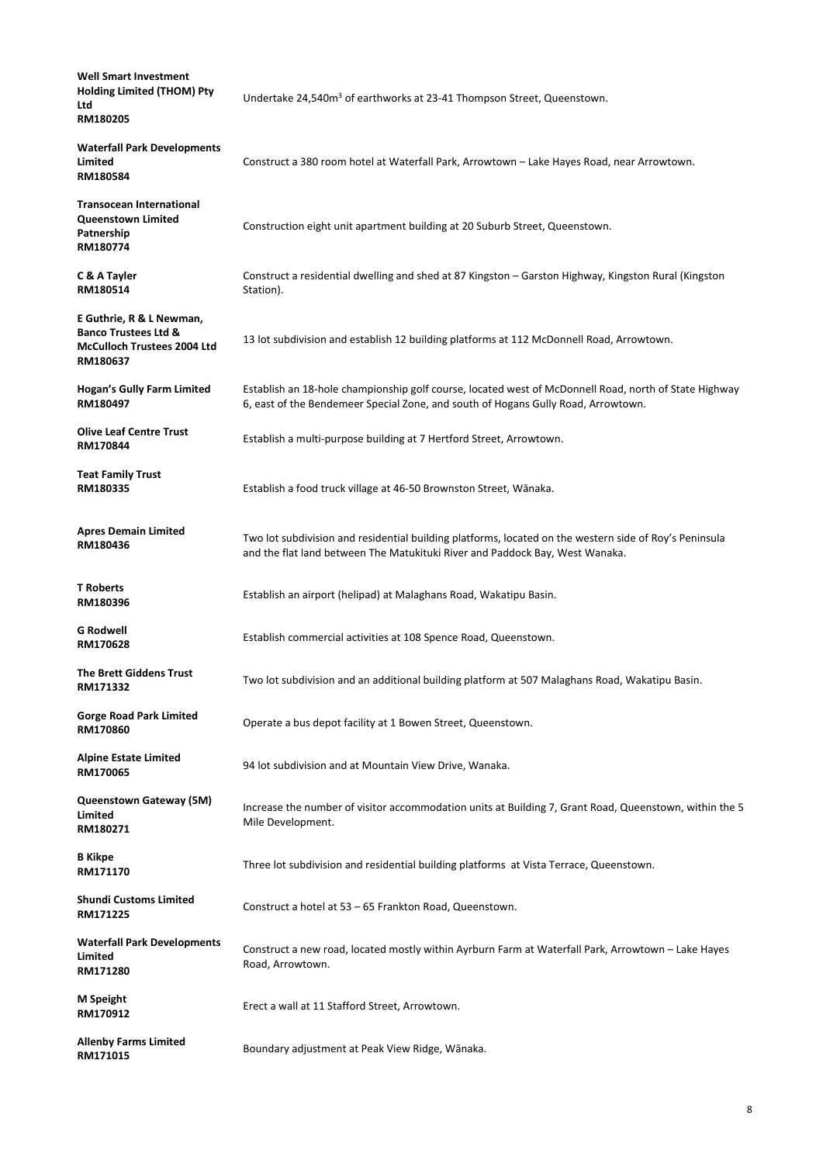| <b>Well Smart Investment</b><br><b>Holding Limited (THOM) Pty</b><br><b>Ltd</b><br>RM180205                   | Undertake 24,540m <sup>3</sup> of earthworks at 23-41 Thompson Street, Queenstown.                                                                                                         |
|---------------------------------------------------------------------------------------------------------------|--------------------------------------------------------------------------------------------------------------------------------------------------------------------------------------------|
| <b>Waterfall Park Developments</b><br>Limited<br>RM180584                                                     | Construct a 380 room hotel at Waterfall Park, Arrowtown - Lake Hayes Road, near Arrowtown.                                                                                                 |
| <b>Transocean International</b><br><b>Queenstown Limited</b><br>Patnership<br>RM180774                        | Construction eight unit apartment building at 20 Suburb Street, Queenstown.                                                                                                                |
| C & A Tayler<br>RM180514                                                                                      | Construct a residential dwelling and shed at 87 Kingston - Garston Highway, Kingston Rural (Kingston<br>Station).                                                                          |
| E Guthrie, R & L Newman,<br><b>Banco Trustees Ltd &amp;</b><br><b>McCulloch Trustees 2004 Ltd</b><br>RM180637 | 13 lot subdivision and establish 12 building platforms at 112 McDonnell Road, Arrowtown.                                                                                                   |
| <b>Hogan's Gully Farm Limited</b><br>RM180497                                                                 | Establish an 18-hole championship golf course, located west of McDonnell Road, north of State Highway<br>6, east of the Bendemeer Special Zone, and south of Hogans Gully Road, Arrowtown. |
| <b>Olive Leaf Centre Trust</b><br>RM170844                                                                    | Establish a multi-purpose building at 7 Hertford Street, Arrowtown.                                                                                                                        |
| <b>Teat Family Trust</b><br>RM180335                                                                          | Establish a food truck village at 46-50 Brownston Street, Wānaka.                                                                                                                          |
| <b>Apres Demain Limited</b><br>RM180436                                                                       | Two lot subdivision and residential building platforms, located on the western side of Roy's Peninsula<br>and the flat land between The Matukituki River and Paddock Bay, West Wanaka.     |
| <b>T</b> Roberts<br>RM180396                                                                                  | Establish an airport (helipad) at Malaghans Road, Wakatipu Basin.                                                                                                                          |
| <b>G Rodwell</b><br>RM170628                                                                                  | Establish commercial activities at 108 Spence Road, Queenstown.                                                                                                                            |
| <b>The Brett Giddens Trust</b><br>RM171332                                                                    | Two lot subdivision and an additional building platform at 507 Malaghans Road, Wakatipu Basin.                                                                                             |
| <b>Gorge Road Park Limited</b><br>RM170860                                                                    | Operate a bus depot facility at 1 Bowen Street, Queenstown.                                                                                                                                |
| <b>Alpine Estate Limited</b><br>RM170065                                                                      | 94 lot subdivision and at Mountain View Drive, Wanaka.                                                                                                                                     |
| <b>Queenstown Gateway (5M)</b><br>Limited<br>RM180271                                                         | Increase the number of visitor accommodation units at Building 7, Grant Road, Queenstown, within the 5<br>Mile Development.                                                                |
| <b>B</b> Kikpe<br>RM171170                                                                                    | Three lot subdivision and residential building platforms at Vista Terrace, Queenstown.                                                                                                     |

### **Shundi Customs Limited RM171225** Construct a hotel at 53 – 65 Frankton Road, Queenstown. **Waterfall Park Developments Limited RM171280** Construct a new road, located mostly within Ayrburn Farm at Waterfall Park, Arrowtown – Lake Hayes Road, Arrowtown. **M Speight RM170912** Erect a wall at 11 Stafford Street, Arrowtown. **Allenby Farms Limited**

**RM171015** Boundary adjustment at Peak View Ridge, Wānaka.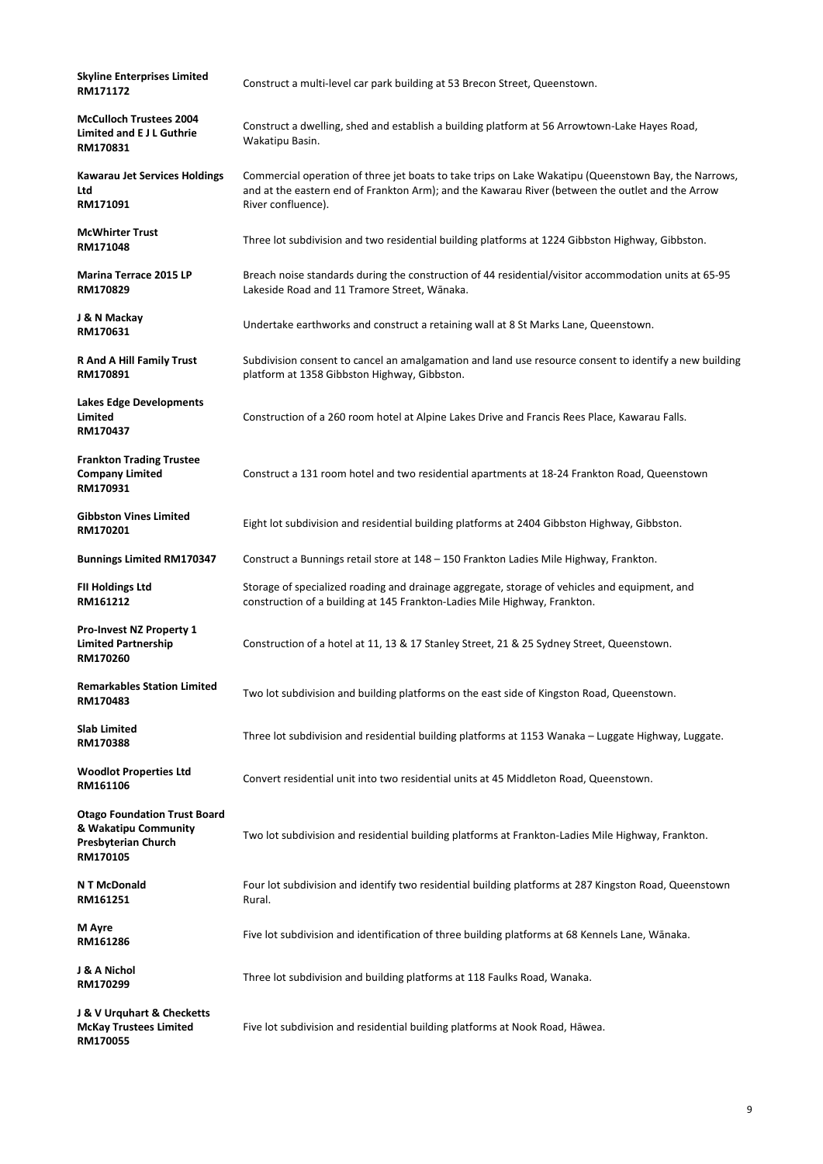| <b>Skyline Enterprises Limited</b><br>RM171172                                                        | Construct a multi-level car park building at 53 Brecon Street, Queenstown.                                                                                                                                                     |
|-------------------------------------------------------------------------------------------------------|--------------------------------------------------------------------------------------------------------------------------------------------------------------------------------------------------------------------------------|
| <b>McCulloch Trustees 2004</b><br>Limited and E J L Guthrie<br>RM170831                               | Construct a dwelling, shed and establish a building platform at 56 Arrowtown-Lake Hayes Road,<br>Wakatipu Basin.                                                                                                               |
| <b>Kawarau Jet Services Holdings</b><br>Ltd<br>RM171091                                               | Commercial operation of three jet boats to take trips on Lake Wakatipu (Queenstown Bay, the Narrows,<br>and at the eastern end of Frankton Arm); and the Kawarau River (between the outlet and the Arrow<br>River confluence). |
| <b>McWhirter Trust</b><br>RM171048                                                                    | Three lot subdivision and two residential building platforms at 1224 Gibbston Highway, Gibbston.                                                                                                                               |
| <b>Marina Terrace 2015 LP</b><br>RM170829                                                             | Breach noise standards during the construction of 44 residential/visitor accommodation units at 65-95<br>Lakeside Road and 11 Tramore Street, Wānaka.                                                                          |
| J & N Mackay<br>RM170631                                                                              | Undertake earthworks and construct a retaining wall at 8 St Marks Lane, Queenstown.                                                                                                                                            |
| <b>R And A Hill Family Trust</b><br>RM170891                                                          | Subdivision consent to cancel an amalgamation and land use resource consent to identify a new building<br>platform at 1358 Gibbston Highway, Gibbston.                                                                         |
| <b>Lakes Edge Developments</b><br>Limited<br>RM170437                                                 | Construction of a 260 room hotel at Alpine Lakes Drive and Francis Rees Place, Kawarau Falls.                                                                                                                                  |
| <b>Frankton Trading Trustee</b><br><b>Company Limited</b><br>RM170931                                 | Construct a 131 room hotel and two residential apartments at 18-24 Frankton Road, Queenstown                                                                                                                                   |
| <b>Gibbston Vines Limited</b><br>RM170201                                                             | Eight lot subdivision and residential building platforms at 2404 Gibbston Highway, Gibbston.                                                                                                                                   |
| <b>Bunnings Limited RM170347</b>                                                                      | Construct a Bunnings retail store at 148 - 150 Frankton Ladies Mile Highway, Frankton.                                                                                                                                         |
| <b>FII Holdings Ltd</b><br>RM161212                                                                   | Storage of specialized roading and drainage aggregate, storage of vehicles and equipment, and<br>construction of a building at 145 Frankton-Ladies Mile Highway, Frankton.                                                     |
| <b>Pro-Invest NZ Property 1</b><br><b>Limited Partnership</b><br>RM170260                             | Construction of a hotel at 11, 13 & 17 Stanley Street, 21 & 25 Sydney Street, Queenstown.                                                                                                                                      |
| <b>Remarkables Station Limited</b><br>RM170483                                                        | Two lot subdivision and building platforms on the east side of Kingston Road, Queenstown.                                                                                                                                      |
| <b>Slab Limited</b><br>RM170388                                                                       | Three lot subdivision and residential building platforms at 1153 Wanaka - Luggate Highway, Luggate.                                                                                                                            |
| <b>Woodlot Properties Ltd</b><br>RM161106                                                             | Convert residential unit into two residential units at 45 Middleton Road, Queenstown.                                                                                                                                          |
| <b>Otago Foundation Trust Board</b><br>& Wakatipu Community<br><b>Presbyterian Church</b><br>RM170105 | Two lot subdivision and residential building platforms at Frankton-Ladies Mile Highway, Frankton.                                                                                                                              |

| <b>N T McDonald</b><br>RM161251                                         | Four lot subdivision and identify two residential building platforms at 287 Kingston Road, Queenstown<br>Rural. |
|-------------------------------------------------------------------------|-----------------------------------------------------------------------------------------------------------------|
| M Ayre<br>RM161286                                                      | Five lot subdivision and identification of three building platforms at 68 Kennels Lane, Wānaka.                 |
| J & A Nichol<br>RM170299                                                | Three lot subdivision and building platforms at 118 Faulks Road, Wanaka.                                        |
| J & V Urquhart & Checketts<br><b>McKay Trustees Limited</b><br>RM170055 | Five lot subdivision and residential building platforms at Nook Road, Hāwea.                                    |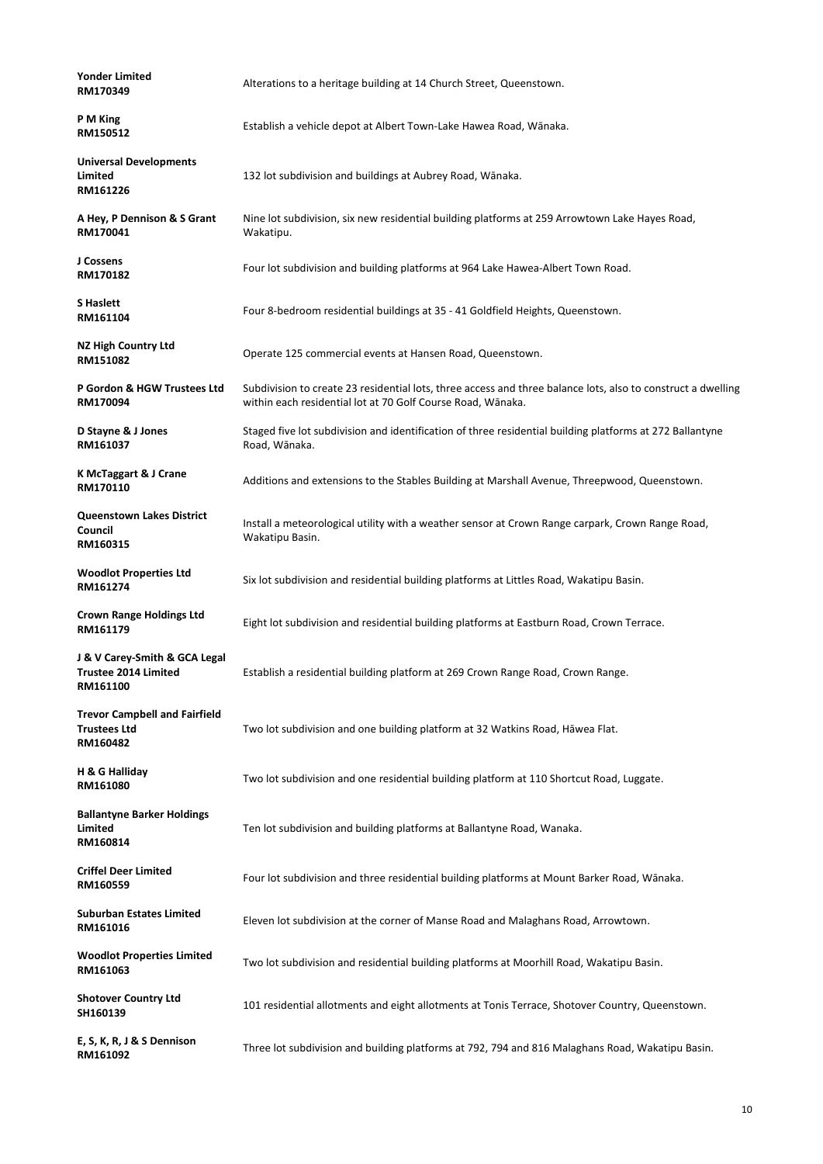| <b>Yonder Limited</b><br>RM170349                                        | Alterations to a heritage building at 14 Church Street, Queenstown.                                                                                                         |
|--------------------------------------------------------------------------|-----------------------------------------------------------------------------------------------------------------------------------------------------------------------------|
| P M King<br>RM150512                                                     | Establish a vehicle depot at Albert Town-Lake Hawea Road, Wānaka.                                                                                                           |
| <b>Universal Developments</b><br><b>Limited</b><br>RM161226              | 132 lot subdivision and buildings at Aubrey Road, Wānaka.                                                                                                                   |
| A Hey, P Dennison & S Grant<br>RM170041                                  | Nine lot subdivision, six new residential building platforms at 259 Arrowtown Lake Hayes Road,<br>Wakatipu.                                                                 |
| J Cossens<br>RM170182                                                    | Four lot subdivision and building platforms at 964 Lake Hawea-Albert Town Road.                                                                                             |
| <b>S Haslett</b><br>RM161104                                             | Four 8-bedroom residential buildings at 35 - 41 Goldfield Heights, Queenstown.                                                                                              |
| <b>NZ High Country Ltd</b><br>RM151082                                   | Operate 125 commercial events at Hansen Road, Queenstown.                                                                                                                   |
| P Gordon & HGW Trustees Ltd<br>RM170094                                  | Subdivision to create 23 residential lots, three access and three balance lots, also to construct a dwelling<br>within each residential lot at 70 Golf Course Road, Wānaka. |
| D Stayne & J Jones<br>RM161037                                           | Staged five lot subdivision and identification of three residential building platforms at 272 Ballantyne<br>Road, Wānaka.                                                   |
| <b>K McTaggart &amp; J Crane</b><br>RM170110                             | Additions and extensions to the Stables Building at Marshall Avenue, Threepwood, Queenstown.                                                                                |
| <b>Queenstown Lakes District</b><br>Council<br>RM160315                  | Install a meteorological utility with a weather sensor at Crown Range carpark, Crown Range Road,<br>Wakatipu Basin.                                                         |
| <b>Woodlot Properties Ltd</b><br>RM161274                                | Six lot subdivision and residential building platforms at Littles Road, Wakatipu Basin.                                                                                     |
| <b>Crown Range Holdings Ltd</b><br>RM161179                              | Eight lot subdivision and residential building platforms at Eastburn Road, Crown Terrace.                                                                                   |
| J & V Carey-Smith & GCA Legal<br><b>Trustee 2014 Limited</b><br>RM161100 | Establish a residential building platform at 269 Crown Range Road, Crown Range.                                                                                             |
| <b>Trevor Campbell and Fairfield</b><br><b>Trustees Ltd</b><br>RM160482  | Two lot subdivision and one building platform at 32 Watkins Road, Hāwea Flat.                                                                                               |
| H & G Halliday<br>RM161080                                               | Two lot subdivision and one residential building platform at 110 Shortcut Road, Luggate.                                                                                    |
| <b>Ballantyne Barker Holdings</b><br><b>Limited</b><br>RM160814          | Ten lot subdivision and building platforms at Ballantyne Road, Wanaka.                                                                                                      |
| <b>Criffel Deer Limited</b>                                              | Four let subdivision and three residential building platforms at Mount Parker Boad, Wānaka                                                                                  |

|  | RM160559 |
|--|----------|
|--|----------|

**RM160559** Four lot subdivision and three residential building platforms at Mount Barker Road, Wānaka.

**Suburban Estates Limited**

**RM161016** Eleven lot subdivision at the corner of Manse Road and Malaghans Road, Arrowtown.

**Woodlot Properties Limited**

**RM161063** Two lot subdivision and residential building platforms at Moorhill Road, Wakatipu Basin.

**Shotover Country Ltd**

**SH160139** 101 residential allotments and eight allotments at Tonis Terrace, Shotover Country, Queenstown.

**E, S, K, R, J & S Dennison**

**RM161092** Three lot subdivision and building platforms at 792, 794 and 816 Malaghans Road, Wakatipu Basin.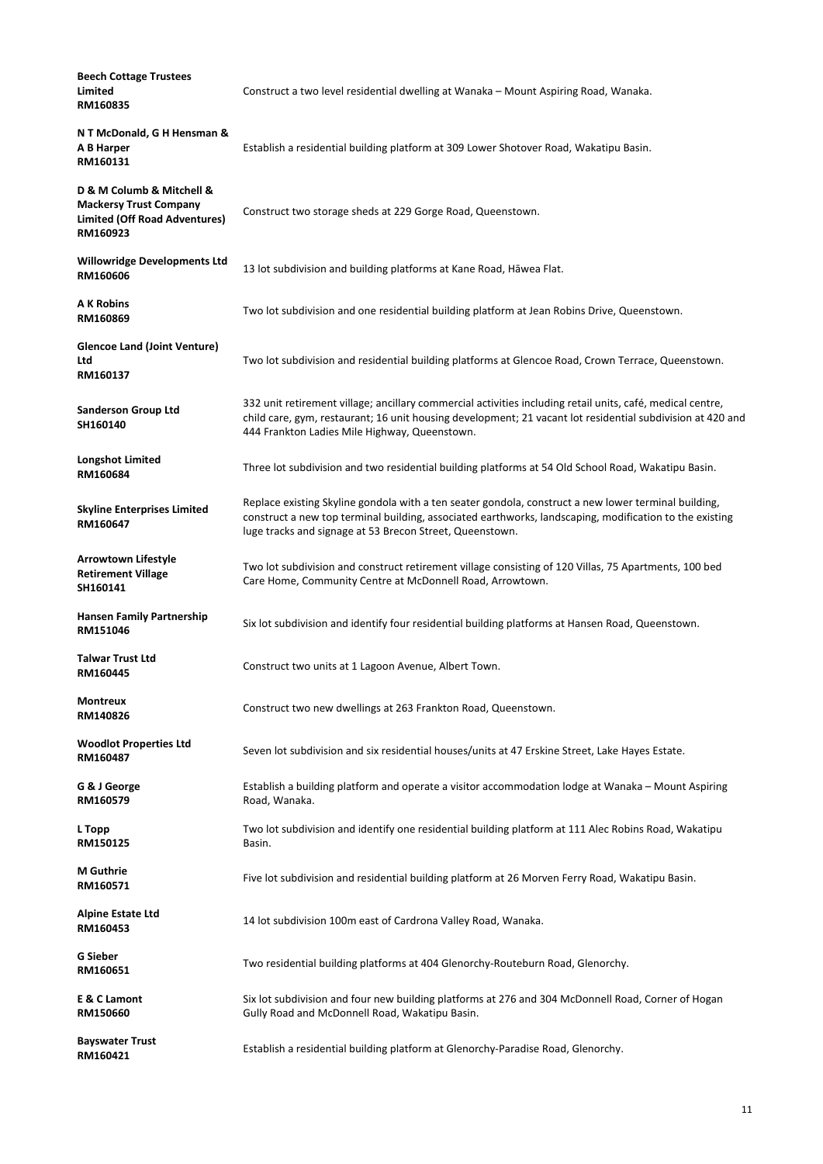| <b>Beech Cottage Trustees</b><br>Limited<br>RM160835                                                           | Construct a two level residential dwelling at Wanaka - Mount Aspiring Road, Wanaka.                                                                                                                                                                                         |
|----------------------------------------------------------------------------------------------------------------|-----------------------------------------------------------------------------------------------------------------------------------------------------------------------------------------------------------------------------------------------------------------------------|
| N T McDonald, G H Hensman &<br><b>A B Harper</b><br>RM160131                                                   | Establish a residential building platform at 309 Lower Shotover Road, Wakatipu Basin.                                                                                                                                                                                       |
| D & M Columb & Mitchell &<br><b>Mackersy Trust Company</b><br><b>Limited (Off Road Adventures)</b><br>RM160923 | Construct two storage sheds at 229 Gorge Road, Queenstown.                                                                                                                                                                                                                  |
| <b>Willowridge Developments Ltd</b><br>RM160606                                                                | 13 lot subdivision and building platforms at Kane Road, Hāwea Flat.                                                                                                                                                                                                         |
| <b>A K Robins</b><br>RM160869                                                                                  | Two lot subdivision and one residential building platform at Jean Robins Drive, Queenstown.                                                                                                                                                                                 |
| <b>Glencoe Land (Joint Venture)</b><br>Ltd<br>RM160137                                                         | Two lot subdivision and residential building platforms at Glencoe Road, Crown Terrace, Queenstown.                                                                                                                                                                          |
| <b>Sanderson Group Ltd</b><br>SH160140                                                                         | 332 unit retirement village; ancillary commercial activities including retail units, café, medical centre,<br>child care, gym, restaurant; 16 unit housing development; 21 vacant lot residential subdivision at 420 and<br>444 Frankton Ladies Mile Highway, Queenstown.   |
| <b>Longshot Limited</b><br>RM160684                                                                            | Three lot subdivision and two residential building platforms at 54 Old School Road, Wakatipu Basin.                                                                                                                                                                         |
| <b>Skyline Enterprises Limited</b><br>RM160647                                                                 | Replace existing Skyline gondola with a ten seater gondola, construct a new lower terminal building,<br>construct a new top terminal building, associated earthworks, landscaping, modification to the existing<br>luge tracks and signage at 53 Brecon Street, Queenstown. |
| <b>Arrowtown Lifestyle</b><br><b>Retirement Village</b><br>SH160141                                            | Two lot subdivision and construct retirement village consisting of 120 Villas, 75 Apartments, 100 bed<br>Care Home, Community Centre at McDonnell Road, Arrowtown.                                                                                                          |
| <b>Hansen Family Partnership</b><br>RM151046                                                                   | Six lot subdivision and identify four residential building platforms at Hansen Road, Queenstown.                                                                                                                                                                            |
| <b>Talwar Trust Ltd</b><br>RM160445                                                                            | Construct two units at 1 Lagoon Avenue, Albert Town.                                                                                                                                                                                                                        |
| <b>Montreux</b><br>RM140826                                                                                    | Construct two new dwellings at 263 Frankton Road, Queenstown.                                                                                                                                                                                                               |
| <b>Woodlot Properties Ltd</b><br>RM160487                                                                      | Seven lot subdivision and six residential houses/units at 47 Erskine Street, Lake Hayes Estate.                                                                                                                                                                             |
| G & J George<br>RM160579                                                                                       | Establish a building platform and operate a visitor accommodation lodge at Wanaka - Mount Aspiring<br>Road, Wanaka.                                                                                                                                                         |
| L Topp<br>RM150125                                                                                             | Two lot subdivision and identify one residential building platform at 111 Alec Robins Road, Wakatipu<br>Basin.                                                                                                                                                              |
| <b>M</b> Guthrie                                                                                               |                                                                                                                                                                                                                                                                             |

| <u>IVI GULILILE</u><br>RM160571      | Five lot subdivision and residential building platform at 26 Morven Ferry Road, Wakatipu Basin.                                                      |
|--------------------------------------|------------------------------------------------------------------------------------------------------------------------------------------------------|
| <b>Alpine Estate Ltd</b><br>RM160453 | 14 lot subdivision 100m east of Cardrona Valley Road, Wanaka.                                                                                        |
| <b>G Sieber</b><br>RM160651          | Two residential building platforms at 404 Glenorchy-Routeburn Road, Glenorchy.                                                                       |
| E & C Lamont<br>RM150660             | Six lot subdivision and four new building platforms at 276 and 304 McDonnell Road, Corner of Hogan<br>Gully Road and McDonnell Road, Wakatipu Basin. |
| <b>Bayswater Trust</b><br>RM160421   | Establish a residential building platform at Glenorchy-Paradise Road, Glenorchy.                                                                     |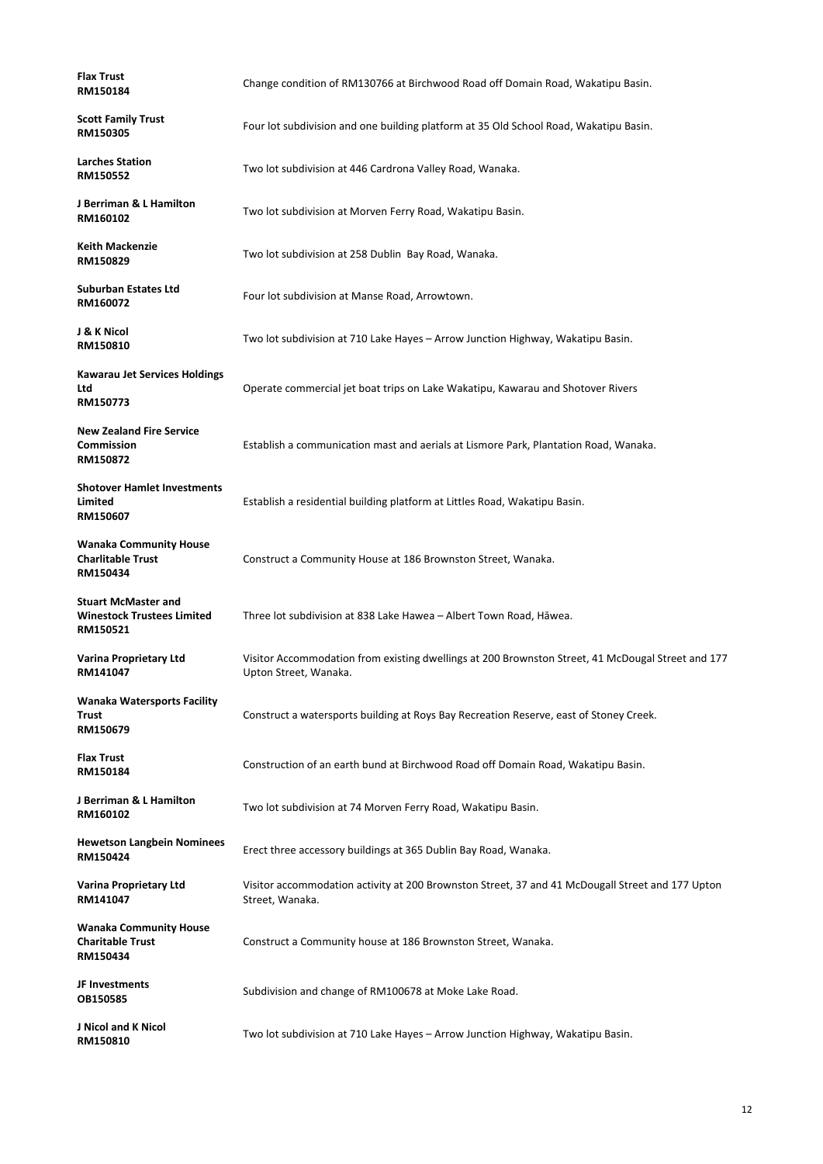| <b>Flax Trust</b><br>RM150184                                               | Change condition of RM130766 at Birchwood Road off Domain Road, Wakatipu Basin.                                            |
|-----------------------------------------------------------------------------|----------------------------------------------------------------------------------------------------------------------------|
| <b>Scott Family Trust</b><br>RM150305                                       | Four lot subdivision and one building platform at 35 Old School Road, Wakatipu Basin.                                      |
| <b>Larches Station</b><br>RM150552                                          | Two lot subdivision at 446 Cardrona Valley Road, Wanaka.                                                                   |
| J Berriman & L Hamilton<br>RM160102                                         | Two lot subdivision at Morven Ferry Road, Wakatipu Basin.                                                                  |
| <b>Keith Mackenzie</b><br>RM150829                                          | Two lot subdivision at 258 Dublin Bay Road, Wanaka.                                                                        |
| <b>Suburban Estates Ltd</b><br>RM160072                                     | Four lot subdivision at Manse Road, Arrowtown.                                                                             |
| J & K Nicol<br>RM150810                                                     | Two lot subdivision at 710 Lake Hayes - Arrow Junction Highway, Wakatipu Basin.                                            |
| <b>Kawarau Jet Services Holdings</b><br>Ltd<br>RM150773                     | Operate commercial jet boat trips on Lake Wakatipu, Kawarau and Shotover Rivers                                            |
| <b>New Zealand Fire Service</b><br><b>Commission</b><br>RM150872            | Establish a communication mast and aerials at Lismore Park, Plantation Road, Wanaka.                                       |
| <b>Shotover Hamlet Investments</b><br>Limited<br>RM150607                   | Establish a residential building platform at Littles Road, Wakatipu Basin.                                                 |
| <b>Wanaka Community House</b><br><b>Charlitable Trust</b><br>RM150434       | Construct a Community House at 186 Brownston Street, Wanaka.                                                               |
| <b>Stuart McMaster and</b><br><b>Winestock Trustees Limited</b><br>RM150521 | Three lot subdivision at 838 Lake Hawea - Albert Town Road, Hāwea.                                                         |
| <b>Varina Proprietary Ltd</b><br>RM141047                                   | Visitor Accommodation from existing dwellings at 200 Brownston Street, 41 McDougal Street and 177<br>Upton Street, Wanaka. |
| <b>Wanaka Watersports Facility</b><br><b>Trust</b><br>RM150679              | Construct a watersports building at Roys Bay Recreation Reserve, east of Stoney Creek.                                     |
| <b>Flax Trust</b><br>RM150184                                               | Construction of an earth bund at Birchwood Road off Domain Road, Wakatipu Basin.                                           |
| J Berriman & L Hamilton<br>RM160102                                         | Two lot subdivision at 74 Morven Ferry Road, Wakatipu Basin.                                                               |
| <b>Hewetson Langbein Nominees</b><br>RM150424                               | Erect three accessory buildings at 365 Dublin Bay Road, Wanaka.                                                            |

| <b>Varina Proprietary Ltd</b><br>RM141047                            | Visitor accommodation activity at 200 Brownston Street, 37 and 41 McDougall Street and 177 Upton<br>Street, Wanaka. |
|----------------------------------------------------------------------|---------------------------------------------------------------------------------------------------------------------|
| <b>Wanaka Community House</b><br><b>Charitable Trust</b><br>RM150434 | Construct a Community house at 186 Brownston Street, Wanaka.                                                        |
| JF Investments<br><b>OB150585</b>                                    | Subdivision and change of RM100678 at Moke Lake Road.                                                               |
| J Nicol and K Nicol<br>RM150810                                      | Two lot subdivision at 710 Lake Hayes - Arrow Junction Highway, Wakatipu Basin.                                     |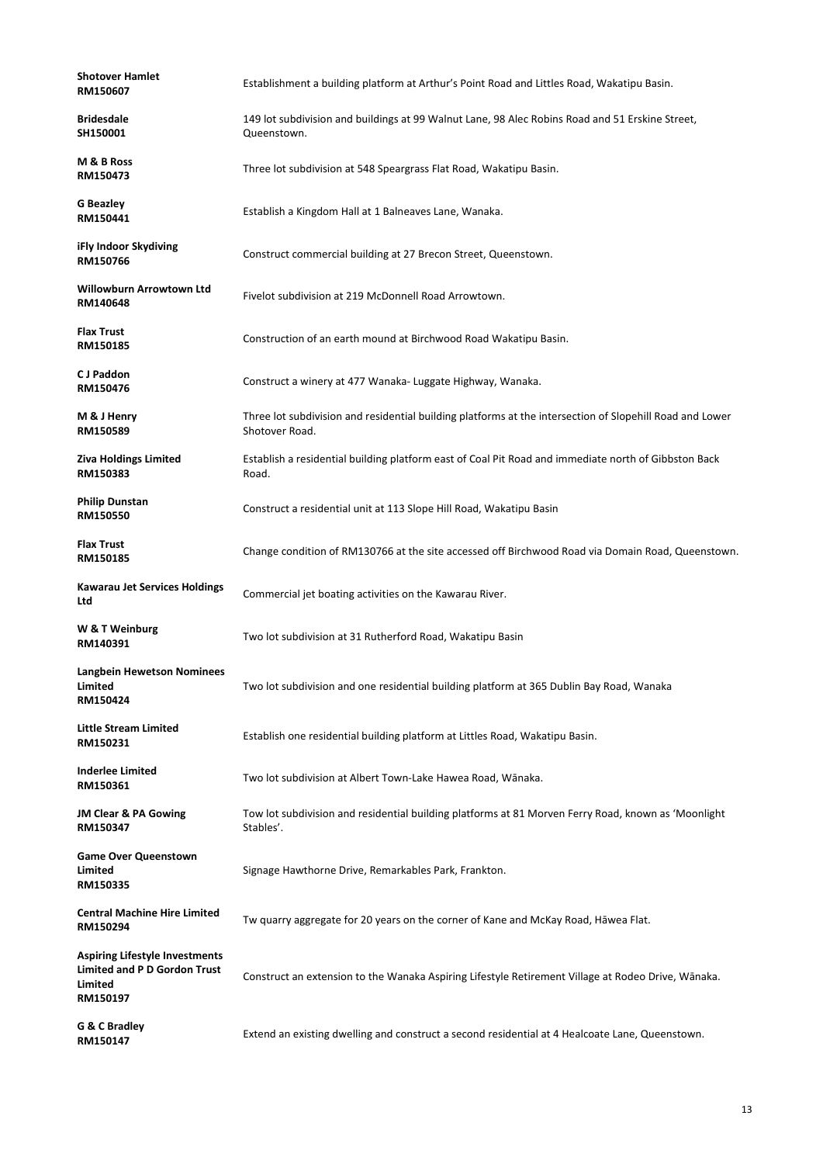| <b>Shotover Hamlet</b><br>RM150607                       | Establishment a building platform at Arthur's Point Road and Littles Road, Wakatipu Basin.                                 |
|----------------------------------------------------------|----------------------------------------------------------------------------------------------------------------------------|
| <b>Bridesdale</b><br>SH150001                            | 149 lot subdivision and buildings at 99 Walnut Lane, 98 Alec Robins Road and 51 Erskine Street,<br>Queenstown.             |
| M & B Ross<br>RM150473                                   | Three lot subdivision at 548 Speargrass Flat Road, Wakatipu Basin.                                                         |
| <b>G</b> Beazley<br>RM150441                             | Establish a Kingdom Hall at 1 Balneaves Lane, Wanaka.                                                                      |
| iFly Indoor Skydiving<br>RM150766                        | Construct commercial building at 27 Brecon Street, Queenstown.                                                             |
| <b>Willowburn Arrowtown Ltd</b><br>RM140648              | Fivelot subdivision at 219 McDonnell Road Arrowtown.                                                                       |
| <b>Flax Trust</b><br>RM150185                            | Construction of an earth mound at Birchwood Road Wakatipu Basin.                                                           |
| <b>CJ Paddon</b><br>RM150476                             | Construct a winery at 477 Wanaka- Luggate Highway, Wanaka.                                                                 |
| M & J Henry<br>RM150589                                  | Three lot subdivision and residential building platforms at the intersection of Slopehill Road and Lower<br>Shotover Road. |
| <b>Ziva Holdings Limited</b><br>RM150383                 | Establish a residential building platform east of Coal Pit Road and immediate north of Gibbston Back<br>Road.              |
| <b>Philip Dunstan</b><br>RM150550                        | Construct a residential unit at 113 Slope Hill Road, Wakatipu Basin                                                        |
| <b>Flax Trust</b><br>RM150185                            | Change condition of RM130766 at the site accessed off Birchwood Road via Domain Road, Queenstown.                          |
| <b>Kawarau Jet Services Holdings</b><br>Ltd              | Commercial jet boating activities on the Kawarau River.                                                                    |
| W & T Weinburg<br>RM140391                               | Two lot subdivision at 31 Rutherford Road, Wakatipu Basin                                                                  |
| <b>Langbein Hewetson Nominees</b><br>Limited<br>RM150424 | Two lot subdivision and one residential building platform at 365 Dublin Bay Road, Wanaka                                   |
| <b>Little Stream Limited</b><br>RM150231                 | Establish one residential building platform at Littles Road, Wakatipu Basin.                                               |
| <b>Inderlee Limited</b><br>RM150361                      | Two lot subdivision at Albert Town-Lake Hawea Road, Wānaka.                                                                |
| <b>JM Clear &amp; PA Gowing</b><br>RM150347              | Tow lot subdivision and residential building platforms at 81 Morven Ferry Road, known as 'Moonlight<br>Stables'.           |
| <b>Game Over Queenstown</b><br>Limited                   | Signage Hawthorne Drive, Remarkables Park, Frankton.                                                                       |

### **RM150335**

**Central Machine Hire Limited RM150294** Tw quarry aggregate for 20 years on the corner of Kane and McKay Road, Hāwea Flat. **Aspiring Lifestyle Investments Limited and P D Gordon Trust Limited RM150197** Construct an extension to the Wanaka Aspiring Lifestyle Retirement Village at Rodeo Drive, Wānaka.

**G & C Bradley**

**RM150147** Extend an existing dwelling and construct a second residential at 4 Healcoate Lane, Queenstown.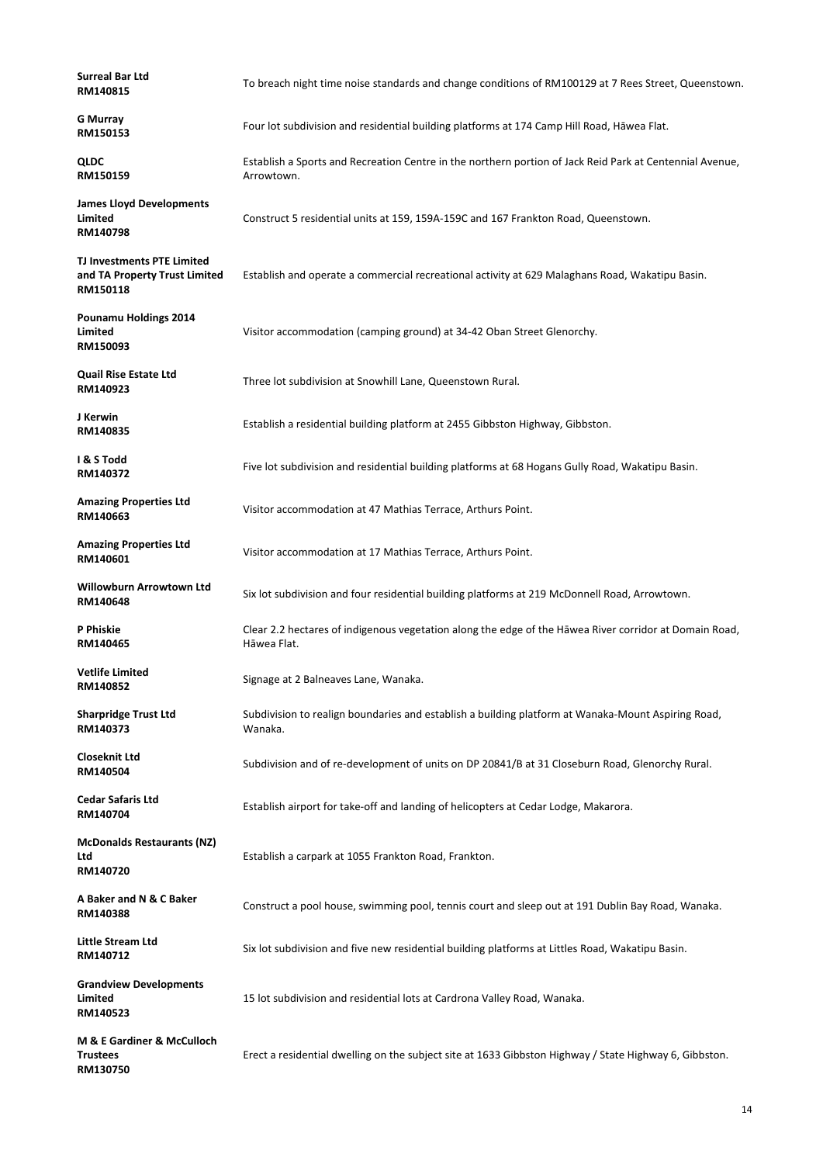| <b>Surreal Bar Ltd</b><br>RM140815                                             | To breach night time noise standards and change conditions of RM100129 at 7 Rees Street, Queenstown.                   |
|--------------------------------------------------------------------------------|------------------------------------------------------------------------------------------------------------------------|
| <b>G Murray</b><br>RM150153                                                    | Four lot subdivision and residential building platforms at 174 Camp Hill Road, Hāwea Flat.                             |
| <b>QLDC</b><br>RM150159                                                        | Establish a Sports and Recreation Centre in the northern portion of Jack Reid Park at Centennial Avenue,<br>Arrowtown. |
| <b>James Lloyd Developments</b><br><b>Limited</b><br>RM140798                  | Construct 5 residential units at 159, 159A-159C and 167 Frankton Road, Queenstown.                                     |
| <b>TJ Investments PTE Limited</b><br>and TA Property Trust Limited<br>RM150118 | Establish and operate a commercial recreational activity at 629 Malaghans Road, Wakatipu Basin.                        |
| <b>Pounamu Holdings 2014</b><br>Limited<br>RM150093                            | Visitor accommodation (camping ground) at 34-42 Oban Street Glenorchy.                                                 |
| <b>Quail Rise Estate Ltd</b><br>RM140923                                       | Three lot subdivision at Snowhill Lane, Queenstown Rural.                                                              |
| J Kerwin<br>RM140835                                                           | Establish a residential building platform at 2455 Gibbston Highway, Gibbston.                                          |
| I & S Todd<br>RM140372                                                         | Five lot subdivision and residential building platforms at 68 Hogans Gully Road, Wakatipu Basin.                       |
| <b>Amazing Properties Ltd</b><br>RM140663                                      | Visitor accommodation at 47 Mathias Terrace, Arthurs Point.                                                            |
| <b>Amazing Properties Ltd</b><br>RM140601                                      | Visitor accommodation at 17 Mathias Terrace, Arthurs Point.                                                            |
| Willowburn Arrowtown Ltd<br>RM140648                                           | Six lot subdivision and four residential building platforms at 219 McDonnell Road, Arrowtown.                          |
| P Phiskie<br>RM140465                                                          | Clear 2.2 hectares of indigenous vegetation along the edge of the Hawea River corridor at Domain Road,<br>Hāwea Flat.  |
| <b>Vetlife Limited</b><br>RM140852                                             | Signage at 2 Balneaves Lane, Wanaka.                                                                                   |
| <b>Sharpridge Trust Ltd</b><br>RM140373                                        | Subdivision to realign boundaries and establish a building platform at Wanaka-Mount Aspiring Road,<br>Wanaka.          |
| <b>Closeknit Ltd</b><br>RM140504                                               | Subdivision and of re-development of units on DP 20841/B at 31 Closeburn Road, Glenorchy Rural.                        |
| <b>Cedar Safaris Ltd</b><br>RM140704                                           | Establish airport for take-off and landing of helicopters at Cedar Lodge, Makarora.                                    |
| <b>McDonalds Restaurants (NZ)</b><br>Ltd<br>RM140720                           | Establish a carpark at 1055 Frankton Road, Frankton.                                                                   |

| A Baker and N & C Baker<br>RM140388                         | Construct a pool house, swimming pool, tennis court and sleep out at 191 Dublin Bay Road, Wanaka.      |
|-------------------------------------------------------------|--------------------------------------------------------------------------------------------------------|
| Little Stream Ltd<br>RM140712                               | Six lot subdivision and five new residential building platforms at Littles Road, Wakatipu Basin.       |
| <b>Grandview Developments</b><br><b>Limited</b><br>RM140523 | 15 lot subdivision and residential lots at Cardrona Valley Road, Wanaka.                               |
| M & E Gardiner & McCulloch<br><b>Trustees</b><br>RM130750   | Erect a residential dwelling on the subject site at 1633 Gibbston Highway / State Highway 6, Gibbston. |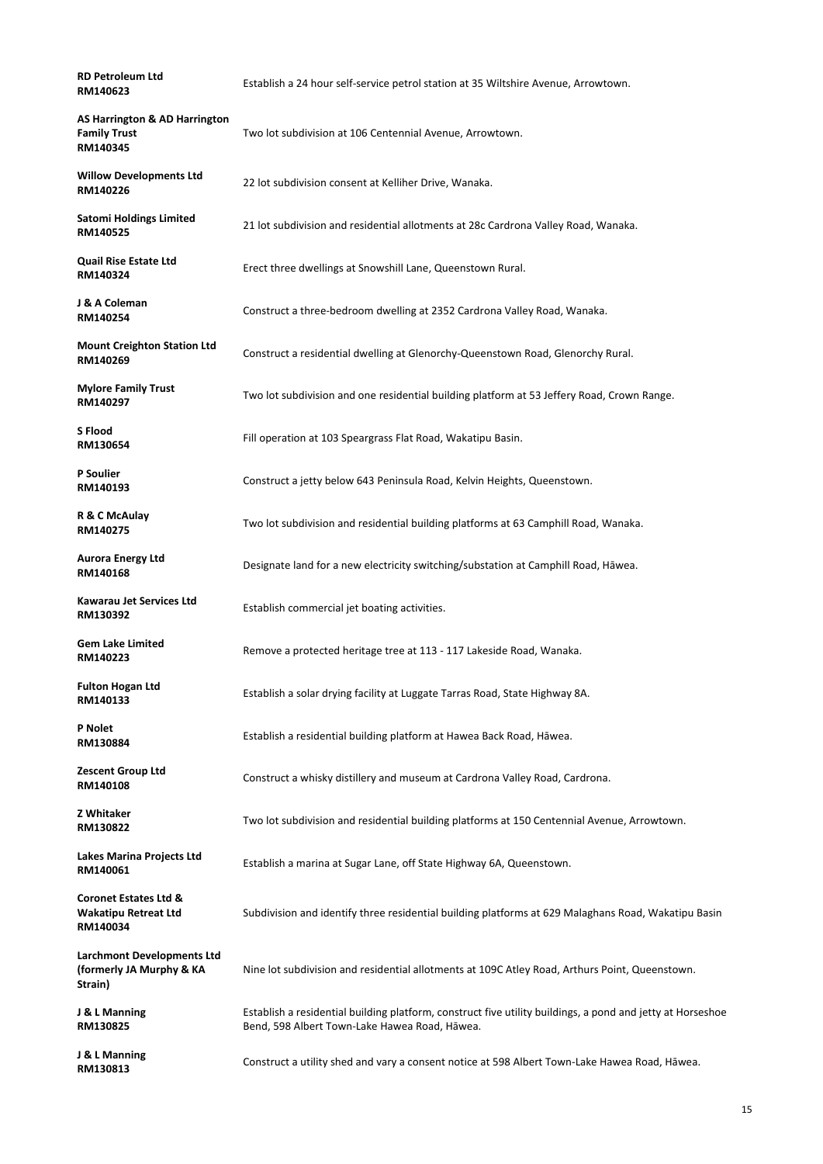| <b>RD Petroleum Ltd</b><br>RM140623                                         | Establish a 24 hour self-service petrol station at 35 Wiltshire Avenue, Arrowtown.          |
|-----------------------------------------------------------------------------|---------------------------------------------------------------------------------------------|
| <b>AS Harrington &amp; AD Harrington</b><br><b>Family Trust</b><br>RM140345 | Two lot subdivision at 106 Centennial Avenue, Arrowtown.                                    |
| <b>Willow Developments Ltd</b><br>RM140226                                  | 22 lot subdivision consent at Kelliher Drive, Wanaka.                                       |
| <b>Satomi Holdings Limited</b><br>RM140525                                  | 21 lot subdivision and residential allotments at 28c Cardrona Valley Road, Wanaka.          |
| <b>Quail Rise Estate Ltd</b><br>RM140324                                    | Erect three dwellings at Snowshill Lane, Queenstown Rural.                                  |
| J & A Coleman<br>RM140254                                                   | Construct a three-bedroom dwelling at 2352 Cardrona Valley Road, Wanaka.                    |
| <b>Mount Creighton Station Ltd</b><br>RM140269                              | Construct a residential dwelling at Glenorchy-Queenstown Road, Glenorchy Rural.             |
| <b>Mylore Family Trust</b><br>RM140297                                      | Two lot subdivision and one residential building platform at 53 Jeffery Road, Crown Range.  |
| <b>S</b> Flood<br>RM130654                                                  | Fill operation at 103 Speargrass Flat Road, Wakatipu Basin.                                 |
| P Soulier<br>RM140193                                                       | Construct a jetty below 643 Peninsula Road, Kelvin Heights, Queenstown.                     |
| R & C McAulay<br>RM140275                                                   | Two lot subdivision and residential building platforms at 63 Camphill Road, Wanaka.         |
| <b>Aurora Energy Ltd</b><br>RM140168                                        | Designate land for a new electricity switching/substation at Camphill Road, Hāwea.          |
| Kawarau Jet Services Ltd<br>RM130392                                        | Establish commercial jet boating activities.                                                |
| <b>Gem Lake Limited</b><br>RM140223                                         | Remove a protected heritage tree at 113 - 117 Lakeside Road, Wanaka.                        |
| <b>Fulton Hogan Ltd</b><br>RM140133                                         | Establish a solar drying facility at Luggate Tarras Road, State Highway 8A.                 |
| P Nolet<br>RM130884                                                         | Establish a residential building platform at Hawea Back Road, Hāwea.                        |
| <b>Zescent Group Ltd</b><br>RM140108                                        | Construct a whisky distillery and museum at Cardrona Valley Road, Cardrona.                 |
| <b>Z Whitaker</b><br>RM130822                                               | Two lot subdivision and residential building platforms at 150 Centennial Avenue, Arrowtown. |
| <b>Lakes Marina Projects Ltd</b><br>RM140061                                | Establish a marina at Sugar Lane, off State Highway 6A, Queenstown.                         |

| <b>Coronet Estates Ltd &amp;</b><br><b>Wakatipu Retreat Ltd</b><br>RM140034 | Subdivision and identify three residential building platforms at 629 Malaghans Road, Wakatipu Basin                                                         |
|-----------------------------------------------------------------------------|-------------------------------------------------------------------------------------------------------------------------------------------------------------|
| <b>Larchmont Developments Ltd</b><br>(formerly JA Murphy & KA)<br>Strain)   | Nine lot subdivision and residential allotments at 109C Atley Road, Arthurs Point, Queenstown.                                                              |
| J & L Manning<br>RM130825                                                   | Establish a residential building platform, construct five utility buildings, a pond and jetty at Horseshoe<br>Bend, 598 Albert Town-Lake Hawea Road, Hāwea. |
| J & L Manning<br>RM130813                                                   | Construct a utility shed and vary a consent notice at 598 Albert Town-Lake Hawea Road, Hāwea.                                                               |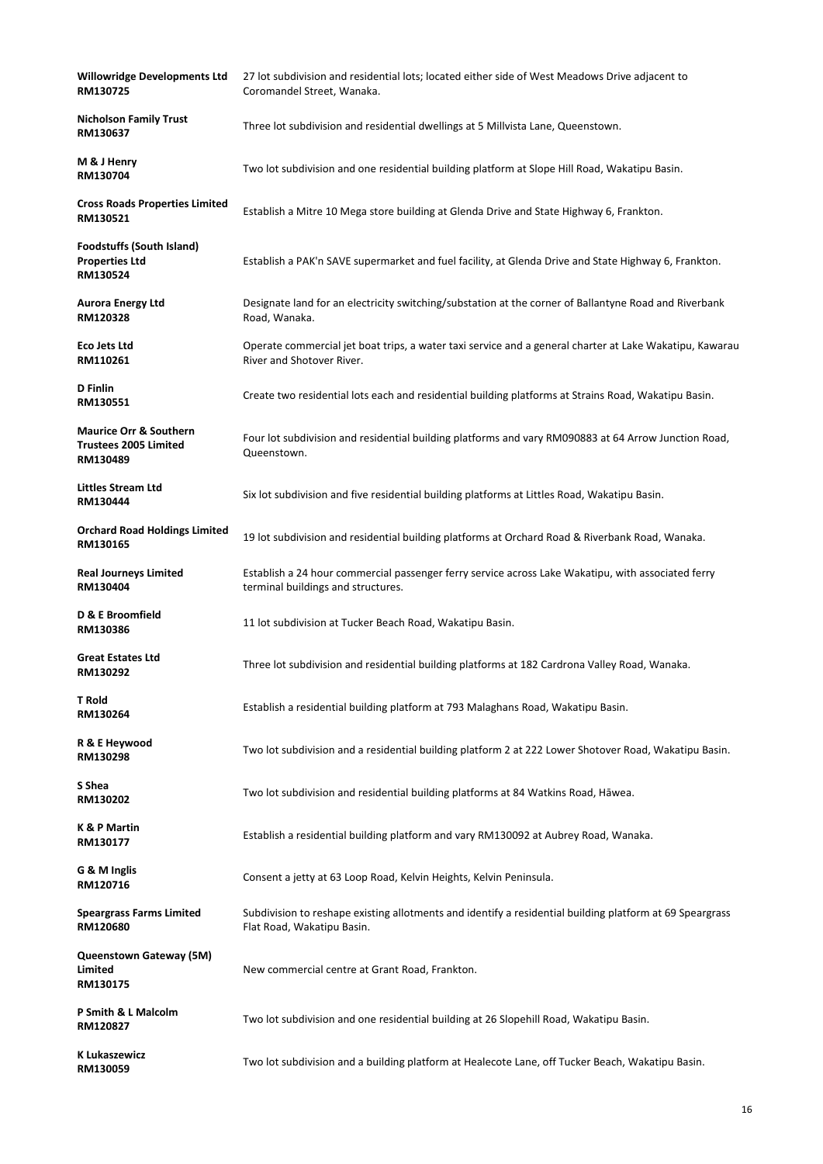| <b>Willowridge Developments Ltd</b><br>RM130725                               | 27 lot subdivision and residential lots; located either side of West Meadows Drive adjacent to<br>Coromandel Street, Wanaka.             |
|-------------------------------------------------------------------------------|------------------------------------------------------------------------------------------------------------------------------------------|
| <b>Nicholson Family Trust</b><br>RM130637                                     | Three lot subdivision and residential dwellings at 5 Millvista Lane, Queenstown.                                                         |
| M & J Henry<br>RM130704                                                       | Two lot subdivision and one residential building platform at Slope Hill Road, Wakatipu Basin.                                            |
| <b>Cross Roads Properties Limited</b><br>RM130521                             | Establish a Mitre 10 Mega store building at Glenda Drive and State Highway 6, Frankton.                                                  |
| <b>Foodstuffs (South Island)</b><br><b>Properties Ltd</b><br>RM130524         | Establish a PAK'n SAVE supermarket and fuel facility, at Glenda Drive and State Highway 6, Frankton.                                     |
| <b>Aurora Energy Ltd</b><br>RM120328                                          | Designate land for an electricity switching/substation at the corner of Ballantyne Road and Riverbank<br>Road, Wanaka.                   |
| <b>Eco Jets Ltd</b><br>RM110261                                               | Operate commercial jet boat trips, a water taxi service and a general charter at Lake Wakatipu, Kawarau<br>River and Shotover River.     |
| <b>D</b> Finlin<br>RM130551                                                   | Create two residential lots each and residential building platforms at Strains Road, Wakatipu Basin.                                     |
| <b>Maurice Orr &amp; Southern</b><br><b>Trustees 2005 Limited</b><br>RM130489 | Four lot subdivision and residential building platforms and vary RM090883 at 64 Arrow Junction Road,<br>Queenstown.                      |
| <b>Littles Stream Ltd</b><br>RM130444                                         | Six lot subdivision and five residential building platforms at Littles Road, Wakatipu Basin.                                             |
| <b>Orchard Road Holdings Limited</b><br>RM130165                              | 19 lot subdivision and residential building platforms at Orchard Road & Riverbank Road, Wanaka.                                          |
| <b>Real Journeys Limited</b><br>RM130404                                      | Establish a 24 hour commercial passenger ferry service across Lake Wakatipu, with associated ferry<br>terminal buildings and structures. |
| D & E Broomfield<br>RM130386                                                  | 11 lot subdivision at Tucker Beach Road, Wakatipu Basin.                                                                                 |
| <b>Great Estates Ltd</b><br>RM130292                                          | Three lot subdivision and residential building platforms at 182 Cardrona Valley Road, Wanaka.                                            |
| <b>T</b> Rold<br>RM130264                                                     | Establish a residential building platform at 793 Malaghans Road, Wakatipu Basin.                                                         |
| R & E Heywood<br>RM130298                                                     | Two lot subdivision and a residential building platform 2 at 222 Lower Shotover Road, Wakatipu Basin.                                    |
| S Shea<br>RM130202                                                            | Two lot subdivision and residential building platforms at 84 Watkins Road, Hāwea.                                                        |
| <b>K &amp; P Martin</b><br>RM130177                                           | Establish a residential building platform and vary RM130092 at Aubrey Road, Wanaka.                                                      |
| G & M Inglis<br>RM120716                                                      | Consent a jetty at 63 Loop Road, Kelvin Heights, Kelvin Peninsula.                                                                       |
| <b>Speargrass Farms Limited</b><br>RM120680                                   | Subdivision to reshape existing allotments and identify a residential building platform at 69 Speargrass<br>Flat Road, Wakatipu Basin.   |
| <b>Queenstown Gateway (5M)</b><br>Limited<br>RM130175                         | New commercial centre at Grant Road, Frankton.                                                                                           |
| P Smith & L Malcolm<br>RM120827                                               | Two lot subdivision and one residential building at 26 Slopehill Road, Wakatipu Basin.                                                   |
| <b>K Lukaszewicz</b><br>RM130059                                              | Two lot subdivision and a building platform at Healecote Lane, off Tucker Beach, Wakatipu Basin.                                         |